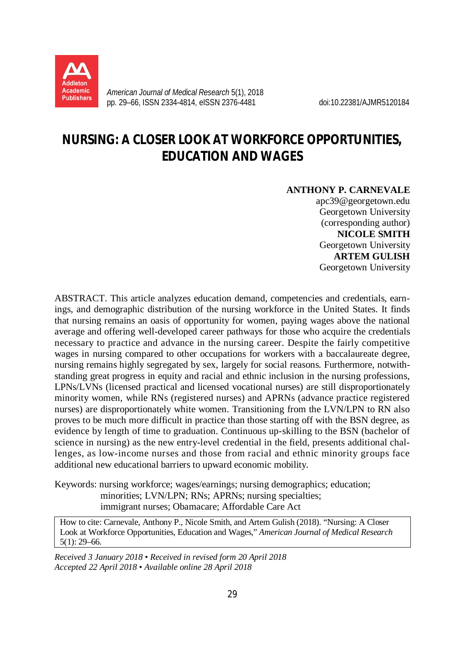

*American Journal of Medical Research* 5(1), 2018 pp. 29–66, ISSN 2334-4814, eISSN 2376-4481 doi:10.22381/AJMR5120184

# **NURSING: A CLOSER LOOK AT WORKFORCE OPPORTUNITIES, EDUCATION AND WAGES**

### **ANTHONY P. CARNEVALE**

apc39@georgetown.edu Georgetown University (corresponding author) **NICOLE SMITH**  Georgetown University **ARTEM GULISH** Georgetown University

ABSTRACT. This article analyzes education demand, competencies and credentials, earnings, and demographic distribution of the nursing workforce in the United States. It finds that nursing remains an oasis of opportunity for women, paying wages above the national average and offering well-developed career pathways for those who acquire the credentials necessary to practice and advance in the nursing career. Despite the fairly competitive wages in nursing compared to other occupations for workers with a baccalaureate degree, nursing remains highly segregated by sex, largely for social reasons. Furthermore, notwithstanding great progress in equity and racial and ethnic inclusion in the nursing professions, LPNs/LVNs (licensed practical and licensed vocational nurses) are still disproportionately minority women, while RNs (registered nurses) and APRNs (advance practice registered nurses) are disproportionately white women. Transitioning from the LVN/LPN to RN also proves to be much more difficult in practice than those starting off with the BSN degree, as evidence by length of time to graduation. Continuous up-skilling to the BSN (bachelor of science in nursing) as the new entry-level credential in the field, presents additional challenges, as low-income nurses and those from racial and ethnic minority groups face additional new educational barriers to upward economic mobility.

Keywords: nursing workforce; wages/earnings; nursing demographics; education; minorities; LVN/LPN; RNs; APRNs; nursing specialties; immigrant nurses; Obamacare; Affordable Care Act

How to cite: Carnevale, Anthony P., Nicole Smith, and Artem Gulish (2018). "Nursing: A Closer Look at Workforce Opportunities, Education and Wages," *American Journal of Medical Research* 5(1): 29–66.

*Received 3 January 2018 • Received in revised form 20 April 2018 Accepted 22 April 2018 • Available online 28 April 2018*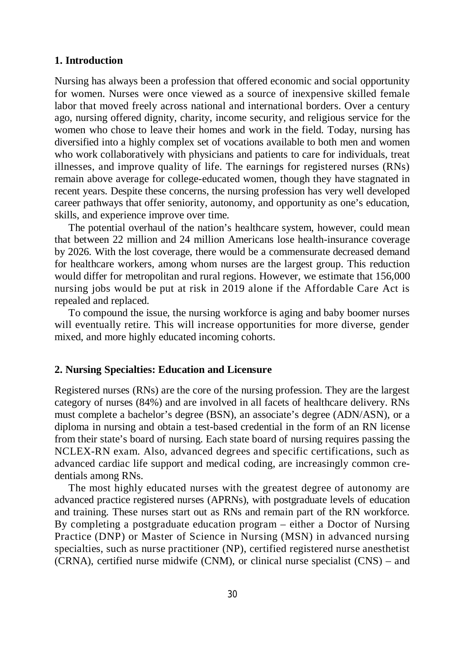# **1. Introduction**

Nursing has always been a profession that offered economic and social opportunity for women. Nurses were once viewed as a source of inexpensive skilled female labor that moved freely across national and international borders. Over a century ago, nursing offered dignity, charity, income security, and religious service for the women who chose to leave their homes and work in the field. Today, nursing has diversified into a highly complex set of vocations available to both men and women who work collaboratively with physicians and patients to care for individuals, treat illnesses, and improve quality of life. The earnings for registered nurses (RNs) remain above average for college-educated women, though they have stagnated in recent years. Despite these concerns, the nursing profession has very well developed career pathways that offer seniority, autonomy, and opportunity as one's education, skills, and experience improve over time.

The potential overhaul of the nation's healthcare system, however, could mean that between 22 million and 24 million Americans lose health-insurance coverage by 2026. With the lost coverage, there would be a commensurate decreased demand for healthcare workers, among whom nurses are the largest group. This reduction would differ for metropolitan and rural regions. However, we estimate that 156,000 nursing jobs would be put at risk in 2019 alone if the Affordable Care Act is repealed and replaced.

To compound the issue, the nursing workforce is aging and baby boomer nurses will eventually retire. This will increase opportunities for more diverse, gender mixed, and more highly educated incoming cohorts.

# **2. Nursing Specialties: Education and Licensure**

Registered nurses (RNs) are the core of the nursing profession. They are the largest category of nurses (84%) and are involved in all facets of healthcare delivery. RNs must complete a bachelor's degree (BSN), an associate's degree (ADN/ASN), or a diploma in nursing and obtain a test-based credential in the form of an RN license from their state's board of nursing. Each state board of nursing requires passing the NCLEX-RN exam. Also, advanced degrees and specific certifications, such as advanced cardiac life support and medical coding, are increasingly common credentials among RNs.

The most highly educated nurses with the greatest degree of autonomy are advanced practice registered nurses (APRNs), with postgraduate levels of education and training. These nurses start out as RNs and remain part of the RN workforce. By completing a postgraduate education program – either a Doctor of Nursing Practice (DNP) or Master of Science in Nursing (MSN) in advanced nursing specialties, such as nurse practitioner (NP), certified registered nurse anesthetist (CRNA), certified nurse midwife (CNM), or clinical nurse specialist (CNS) – and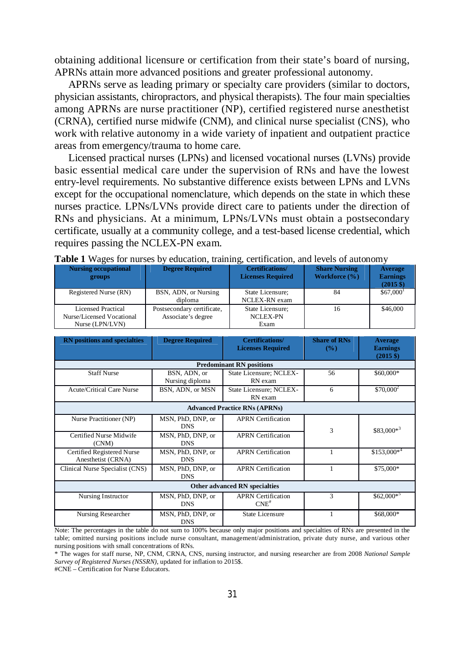obtaining additional licensure or certification from their state's board of nursing, APRNs attain more advanced positions and greater professional autonomy.

APRNs serve as leading primary or specialty care providers (similar to doctors, physician assistants, chiropractors, and physical therapists). The four main specialties among APRNs are nurse practitioner (NP), certified registered nurse anesthetist (CRNA), certified nurse midwife (CNM), and clinical nurse specialist (CNS), who work with relative autonomy in a wide variety of inpatient and outpatient practice areas from emergency/trauma to home care.

Licensed practical nurses (LPNs) and licensed vocational nurses (LVNs) provide basic essential medical care under the supervision of RNs and have the lowest entry-level requirements. No substantive difference exists between LPNs and LVNs except for the occupational nomenclature, which depends on the state in which these nurses practice. LPNs/LVNs provide direct care to patients under the direction of RNs and physicians. At a minimum, LPNs/LVNs must obtain a postsecondary certificate, usually at a community college, and a test-based license credential, which requires passing the NCLEX-PN exam.

| <b>Nursing occupational</b><br>groups                              | <b>Degree Required</b>                           | <b>Certifications/</b><br><b>Licenses Required</b> | <b>Share Nursing</b><br>Workforce (%) | <b>Average</b><br><b>Earnings</b><br>$(2015 \text{ } $)$ |
|--------------------------------------------------------------------|--------------------------------------------------|----------------------------------------------------|---------------------------------------|----------------------------------------------------------|
| Registered Nurse (RN)                                              | BSN, ADN, or Nursing<br>diploma                  | State Licensure:<br>NCLEX-RN exam                  | 84                                    | $$67,000$ <sup>1</sup>                                   |
| Licensed Practical<br>Nurse/Licensed Vocational<br>Nurse (LPN/LVN) | Postsecondary certificate,<br>Associate's degree | State Licensure;<br><b>NCLEX-PN</b><br>Exam        | 16                                    | \$46,000                                                 |

|  | <b>Table 1</b> Wages for nurses by education, training, certification, and levels of autonomy |  |  |
|--|-----------------------------------------------------------------------------------------------|--|--|
|  |                                                                                               |  |  |

| <b>RN</b> positions and specialties              | <b>Degree Required</b>          | <b>Certifications/</b><br><b>Licenses Required</b> | <b>Share of RNs</b><br>$\frac{9}{6}$ | <b>Average</b><br><b>Earnings</b><br>$(2015 \text{ } \frac{\pi}{6})$ |  |
|--------------------------------------------------|---------------------------------|----------------------------------------------------|--------------------------------------|----------------------------------------------------------------------|--|
|                                                  |                                 | <b>Predominant RN positions</b>                    |                                      |                                                                      |  |
| <b>Staff Nurse</b>                               | BSN, ADN, or<br>Nursing diploma | State Licensure; NCLEX-<br>RN exam                 | 56                                   | \$60,000*                                                            |  |
| <b>Acute/Critical Care Nurse</b>                 | BSN, ADN, or MSN                | State Licensure; NCLEX-<br>RN exam                 | 6                                    | $$70,000^2$                                                          |  |
|                                                  |                                 | <b>Advanced Practice RNs (APRNs)</b>               |                                      |                                                                      |  |
| Nurse Practitioner (NP)                          | MSN, PhD, DNP, or<br><b>DNS</b> | <b>APRN</b> Certification                          | 3                                    | $$83,000*^3$                                                         |  |
| Certified Nurse Midwife<br>(CNM)                 | MSN, PhD, DNP, or<br><b>DNS</b> | <b>APRN</b> Certification                          |                                      |                                                                      |  |
| Certified Registered Nurse<br>Anesthetist (CRNA) | MSN, PhD, DNP, or<br><b>DNS</b> | <b>APRN</b> Certification                          |                                      | $$153,000*4$                                                         |  |
| Clinical Nurse Specialist (CNS)                  | MSN, PhD, DNP, or<br><b>DNS</b> | <b>APRN</b> Certification                          | 1                                    | \$75,000*                                                            |  |
| Other advanced RN specialties                    |                                 |                                                    |                                      |                                                                      |  |
| Nursing Instructor                               | MSN, PhD, DNP, or<br><b>DNS</b> | <b>APRN</b> Certification<br>$CNE$ <sup>#</sup>    | 3                                    | $$62,000*$                                                           |  |
| Nursing Researcher                               | MSN, PhD, DNP, or<br><b>DNS</b> | <b>State Licensure</b>                             |                                      | \$68,000*                                                            |  |

Note: The percentages in the table do not sum to 100% because only major positions and specialties of RNs are presented in the table; omitted nursing positions include nurse consultant, management/administration, private duty nurse, and various other nursing positions with small concentrations of RNs.

#CNE – Certification for Nurse Educators.

<sup>\*</sup> The wages for staff nurse, NP, CNM, CRNA, CNS, nursing instructor, and nursing researcher are from 2008 *National Sample Survey of Registered Nurses (NSSRN)*, updated for inflation to 2015\$.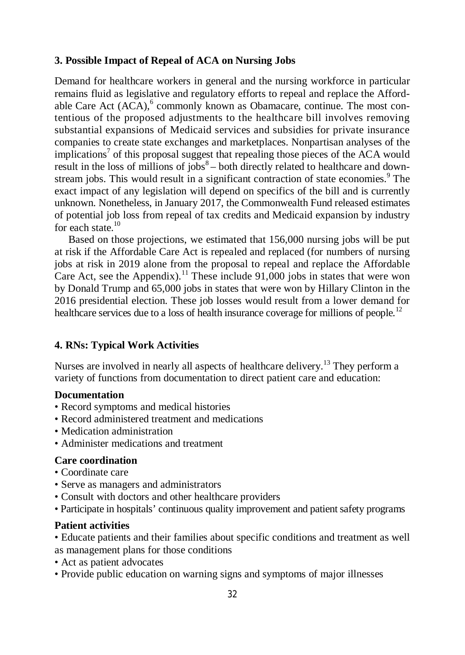# **3. Possible Impact of Repeal of ACA on Nursing Jobs**

Demand for healthcare workers in general and the nursing workforce in particular remains fluid as legislative and regulatory efforts to repeal and replace the Affordable Care Act (ACA),<sup>6</sup> commonly known as Obamacare, continue. The most contentious of the proposed adjustments to the healthcare bill involves removing substantial expansions of Medicaid services and subsidies for private insurance companies to create state exchanges and marketplaces. Nonpartisan analyses of the implications<sup>7</sup> of this proposal suggest that repealing those pieces of the ACA would result in the loss of millions of jobs $8-$  both directly related to healthcare and downstream jobs. This would result in a significant contraction of state economies.<sup>9</sup> The exact impact of any legislation will depend on specifics of the bill and is currently unknown. Nonetheless, in January 2017, the Commonwealth Fund released estimates of potential job loss from repeal of tax credits and Medicaid expansion by industry for each state.<sup>10</sup>

Based on those projections, we estimated that 156,000 nursing jobs will be put at risk if the Affordable Care Act is repealed and replaced (for numbers of nursing jobs at risk in 2019 alone from the proposal to repeal and replace the Affordable Care Act, see the Appendix).<sup>11</sup> These include  $91,000$  jobs in states that were won by Donald Trump and 65,000 jobs in states that were won by Hillary Clinton in the 2016 presidential election. These job losses would result from a lower demand for healthcare services due to a loss of health insurance coverage for millions of people.<sup>12</sup>

# **4. RNs: Typical Work Activities**

Nurses are involved in nearly all aspects of healthcare delivery.<sup>13</sup> They perform a variety of functions from documentation to direct patient care and education:

# **Documentation**

- Record symptoms and medical histories
- Record administered treatment and medications
- Medication administration
- Administer medications and treatment

# **Care coordination**

- Coordinate care
- Serve as managers and administrators
- Consult with doctors and other healthcare providers
- Participate in hospitals' continuous quality improvement and patient safety programs

# **Patient activities**

• Educate patients and their families about specific conditions and treatment as well as management plans for those conditions

- Act as patient advocates
- Provide public education on warning signs and symptoms of major illnesses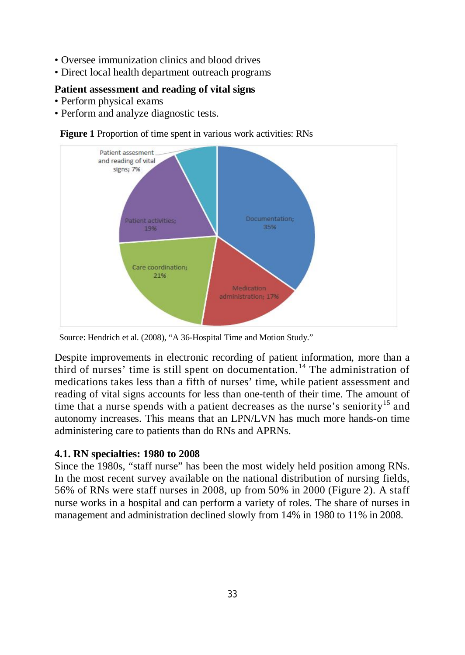- Oversee immunization clinics and blood drives
- Direct local health department outreach programs

# **Patient assessment and reading of vital signs**

- Perform physical exams
- Perform and analyze diagnostic tests.



# **Figure 1** Proportion of time spent in various work activities: RNs

Source: Hendrich et al. (2008), "A 36-Hospital Time and Motion Study."

Despite improvements in electronic recording of patient information, more than a third of nurses' time is still spent on documentation. <sup>14</sup> The administration of medications takes less than a fifth of nurses' time, while patient assessment and reading of vital signs accounts for less than one-tenth of their time. The amount of time that a nurse spends with a patient decreases as the nurse's seniority<sup>15</sup> and autonomy increases. This means that an LPN/LVN has much more hands-on time administering care to patients than do RNs and APRNs.

# **4.1. RN specialties: 1980 to 2008**

Since the 1980s, "staff nurse" has been the most widely held position among RNs. In the most recent survey available on the national distribution of nursing fields, 56% of RNs were staff nurses in 2008, up from 50% in 2000 (Figure 2). A staff nurse works in a hospital and can perform a variety of roles. The share of nurses in management and administration declined slowly from 14% in 1980 to 11% in 2008.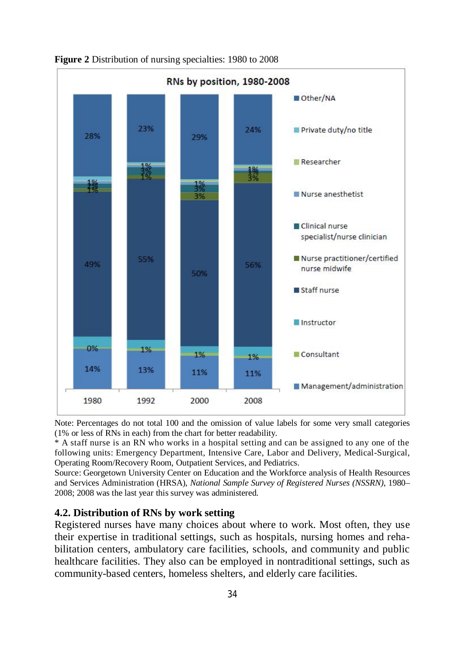

**Figure 2** Distribution of nursing specialties: 1980 to 2008

Note: Percentages do not total 100 and the omission of value labels for some very small categories (1% or less of RNs in each) from the chart for better readability.

\* A staff nurse is an RN who works in a hospital setting and can be assigned to any one of the following units: Emergency Department, Intensive Care, Labor and Delivery, Medical-Surgical, Operating Room/Recovery Room, Outpatient Services, and Pediatrics.

Source: Georgetown University Center on Education and the Workforce analysis of Health Resources and Services Administration (HRSA), *National Sample Survey of Registered Nurses (NSSRN)*, 1980– 2008; 2008 was the last year this survey was administered.

# **4.2. Distribution of RNs by work setting**

Registered nurses have many choices about where to work. Most often, they use their expertise in traditional settings, such as hospitals, nursing homes and rehabilitation centers, ambulatory care facilities, schools, and community and public healthcare facilities. They also can be employed in nontraditional settings, such as community-based centers, homeless shelters, and elderly care facilities.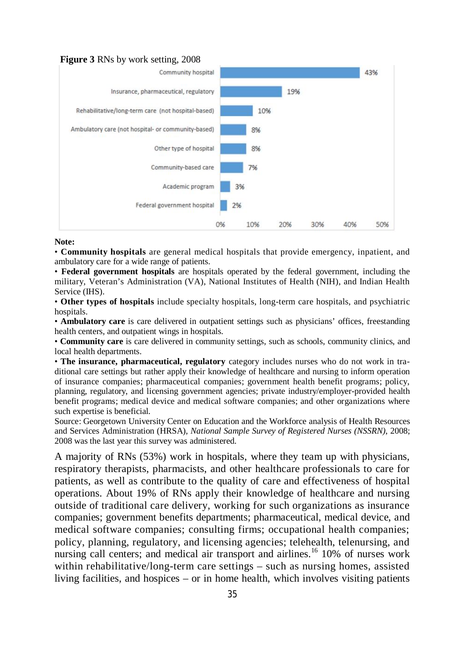#### **Figure 3** RNs by work setting, 2008



**Note:**

• **Community hospitals** are general medical hospitals that provide emergency, inpatient, and ambulatory care for a wide range of patients.

• **Federal government hospitals** are hospitals operated by the federal government, including the military, Veteran's Administration (VA), National Institutes of Health (NIH), and Indian Health Service (IHS).

• **Other types of hospitals** include specialty hospitals, long-term care hospitals, and psychiatric hospitals.

• **Ambulatory care** is care delivered in outpatient settings such as physicians' offices, freestanding health centers, and outpatient wings in hospitals.

• **Community care** is care delivered in community settings, such as schools, community clinics, and local health departments.

• **The insurance, pharmaceutical, regulatory** category includes nurses who do not work in traditional care settings but rather apply their knowledge of healthcare and nursing to inform operation of insurance companies; pharmaceutical companies; government health benefit programs; policy, planning, regulatory, and licensing government agencies; private industry/employer-provided health benefit programs; medical device and medical software companies; and other organizations where such expertise is beneficial.

Source: Georgetown University Center on Education and the Workforce analysis of Health Resources and Services Administration (HRSA), *National Sample Survey of Registered Nurses (NSSRN)*, 2008; 2008 was the last year this survey was administered.

A majority of RNs (53%) work in hospitals, where they team up with physicians, respiratory therapists, pharmacists, and other healthcare professionals to care for patients, as well as contribute to the quality of care and effectiveness of hospital operations. About 19% of RNs apply their knowledge of healthcare and nursing outside of traditional care delivery, working for such organizations as insurance companies; government benefits departments; pharmaceutical, medical device, and medical software companies; consulting firms; occupational health companies; policy, planning, regulatory, and licensing agencies; telehealth, telenursing, and nursing call centers; and medical air transport and airlines.<sup>16</sup> 10% of nurses work within rehabilitative/long-term care settings – such as nursing homes, assisted living facilities, and hospices – or in home health, which involves visiting patients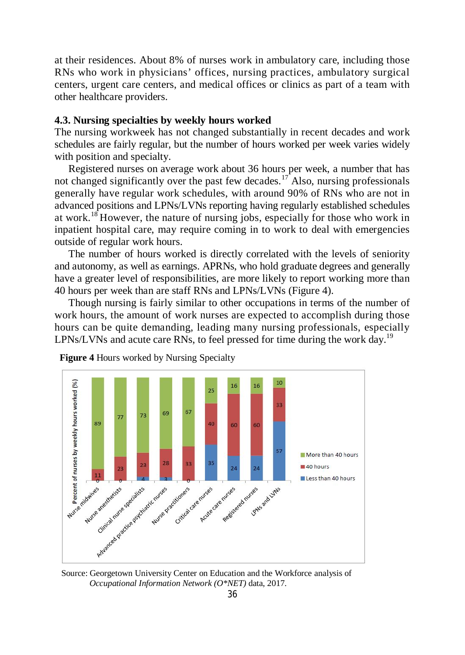at their residences. About 8% of nurses work in ambulatory care, including those RNs who work in physicians' offices, nursing practices, ambulatory surgical centers, urgent care centers, and medical offices or clinics as part of a team with other healthcare providers.

# **4.3. Nursing specialties by weekly hours worked**

The nursing workweek has not changed substantially in recent decades and work schedules are fairly regular, but the number of hours worked per week varies widely with position and specialty.

Registered nurses on average work about 36 hours per week, a number that has not changed significantly over the past few decades.<sup>17</sup> Also, nursing professionals generally have regular work schedules, with around 90% of RNs who are not in advanced positions and LPNs/LVNs reporting having regularly established schedules at work.<sup>18</sup> However, the nature of nursing jobs, especially for those who work in inpatient hospital care, may require coming in to work to deal with emergencies outside of regular work hours.

The number of hours worked is directly correlated with the levels of seniority and autonomy, as well as earnings. APRNs, who hold graduate degrees and generally have a greater level of responsibilities, are more likely to report working more than 40 hours per week than are staff RNs and LPNs/LVNs (Figure 4).

Though nursing is fairly similar to other occupations in terms of the number of work hours, the amount of work nurses are expected to accomplish during those hours can be quite demanding, leading many nursing professionals, especially LPNs/LVNs and acute care RNs, to feel pressed for time during the work day.<sup>19</sup>



 **Figure 4** Hours worked by Nursing Specialty

 Source: Georgetown University Center on Education and the Workforce analysis of *Occupational Information Network (O\*NET)* data, 2017.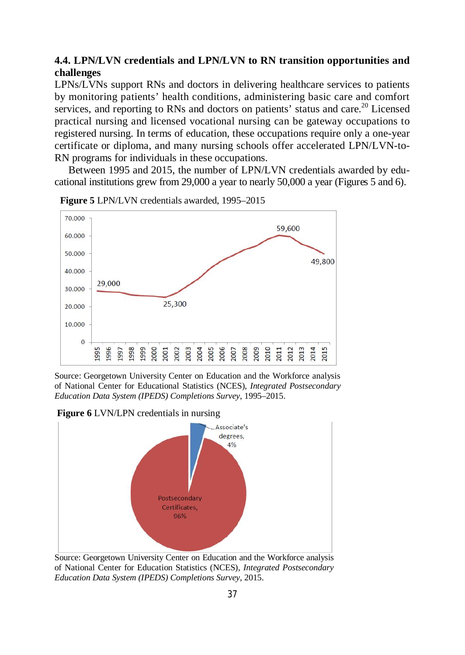# **4.4. LPN/LVN credentials and LPN/LVN to RN transition opportunities and challenges**

LPNs/LVNs support RNs and doctors in delivering healthcare services to patients by monitoring patients' health conditions, administering basic care and comfort services, and reporting to RNs and doctors on patients' status and care.<sup>20</sup> Licensed practical nursing and licensed vocational nursing can be gateway occupations to registered nursing. In terms of education, these occupations require only a one-year certificate or diploma, and many nursing schools offer accelerated LPN/LVN-to-RN programs for individuals in these occupations.

Between 1995 and 2015, the number of LPN/LVN credentials awarded by educational institutions grew from 29,000 a year to nearly 50,000 a year (Figures 5 and 6).



 **Figure 5** LPN/LVN credentials awarded, 1995–2015

Source: Georgetown University Center on Education and the Workforce analysis of National Center for Educational Statistics (NCES), *Integrated Postsecondary Education Data System (IPEDS) Completions Survey*, 1995–2015.

 **Figure 6** LVN/LPN credentials in nursing



Source: Georgetown University Center on Education and the Workforce analysis of National Center for Education Statistics (NCES), *Integrated Postsecondary Education Data System (IPEDS) Completions Survey*, 2015.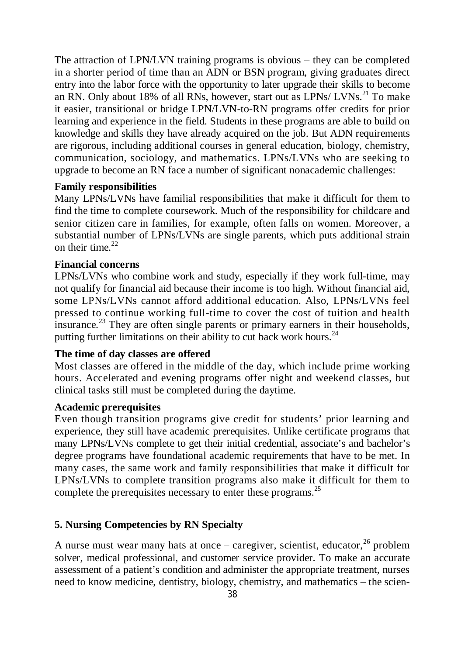The attraction of LPN/LVN training programs is obvious – they can be completed in a shorter period of time than an ADN or BSN program, giving graduates direct entry into the labor force with the opportunity to later upgrade their skills to become an RN. Only about 18% of all RNs, however, start out as LPNs/ LVNs.<sup>21</sup> To make it easier, transitional or bridge LPN/LVN-to-RN programs offer credits for prior learning and experience in the field. Students in these programs are able to build on knowledge and skills they have already acquired on the job. But ADN requirements are rigorous, including additional courses in general education, biology, chemistry, communication, sociology, and mathematics. LPNs/LVNs who are seeking to upgrade to become an RN face a number of significant nonacademic challenges:

# **Family responsibilities**

Many LPNs/LVNs have familial responsibilities that make it difficult for them to find the time to complete coursework. Much of the responsibility for childcare and senior citizen care in families, for example, often falls on women. Moreover, a substantial number of LPNs/LVNs are single parents, which puts additional strain on their time.  $22$ 

# **Financial concerns**

LPNs/LVNs who combine work and study, especially if they work full-time, may not qualify for financial aid because their income is too high. Without financial aid, some LPNs/LVNs cannot afford additional education. Also, LPNs/LVNs feel pressed to continue working full-time to cover the cost of tuition and health insurance.<sup>23</sup> They are often single parents or primary earners in their households, putting further limitations on their ability to cut back work hours.<sup>24</sup>

# **The time of day classes are offered**

Most classes are offered in the middle of the day, which include prime working hours. Accelerated and evening programs offer night and weekend classes, but clinical tasks still must be completed during the daytime.

# **Academic prerequisites**

Even though transition programs give credit for students' prior learning and experience, they still have academic prerequisites. Unlike certificate programs that many LPNs/LVNs complete to get their initial credential, associate's and bachelor's degree programs have foundational academic requirements that have to be met. In many cases, the same work and family responsibilities that make it difficult for LPNs/LVNs to complete transition programs also make it difficult for them to complete the prerequisites necessary to enter these programs.<sup>25</sup>

# **5. Nursing Competencies by RN Specialty**

A nurse must wear many hats at once – caregiver, scientist, educator,  $^{26}$  problem solver, medical professional, and customer service provider. To make an accurate assessment of a patient's condition and administer the appropriate treatment, nurses need to know medicine, dentistry, biology, chemistry, and mathematics – the scien-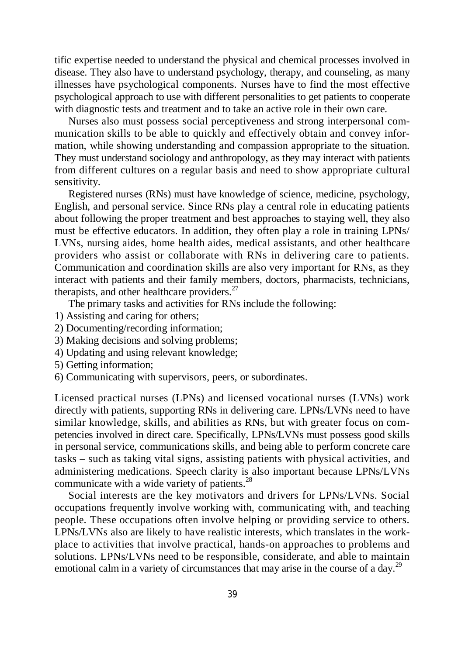tific expertise needed to understand the physical and chemical processes involved in disease. They also have to understand psychology, therapy, and counseling, as many illnesses have psychological components. Nurses have to find the most effective psychological approach to use with different personalities to get patients to cooperate with diagnostic tests and treatment and to take an active role in their own care.

Nurses also must possess social perceptiveness and strong interpersonal communication skills to be able to quickly and effectively obtain and convey information, while showing understanding and compassion appropriate to the situation. They must understand sociology and anthropology, as they may interact with patients from different cultures on a regular basis and need to show appropriate cultural sensitivity.

Registered nurses (RNs) must have knowledge of science, medicine, psychology, English, and personal service. Since RNs play a central role in educating patients about following the proper treatment and best approaches to staying well, they also must be effective educators. In addition, they often play a role in training LPNs/ LVNs, nursing aides, home health aides, medical assistants, and other healthcare providers who assist or collaborate with RNs in delivering care to patients. Communication and coordination skills are also very important for RNs, as they interact with patients and their family members, doctors, pharmacists, technicians, therapists, and other healthcare providers. $27$ 

The primary tasks and activities for RNs include the following:

- 1) Assisting and caring for others;
- 2) Documenting/recording information;
- 3) Making decisions and solving problems;
- 4) Updating and using relevant knowledge;
- 5) Getting information;
- 6) Communicating with supervisors, peers, or subordinates.

Licensed practical nurses (LPNs) and licensed vocational nurses (LVNs) work directly with patients, supporting RNs in delivering care. LPNs/LVNs need to have similar knowledge, skills, and abilities as RNs, but with greater focus on competencies involved in direct care. Specifically, LPNs/LVNs must possess good skills in personal service, communications skills, and being able to perform concrete care tasks – such as taking vital signs, assisting patients with physical activities, and administering medications. Speech clarity is also important because LPNs/LVNs communicate with a wide variety of patients.<sup>28</sup>

Social interests are the key motivators and drivers for LPNs/LVNs. Social occupations frequently involve working with, communicating with, and teaching people. These occupations often involve helping or providing service to others. LPNs/LVNs also are likely to have realistic interests, which translates in the workplace to activities that involve practical, hands-on approaches to problems and solutions. LPNs/LVNs need to be responsible, considerate, and able to maintain emotional calm in a variety of circumstances that may arise in the course of a day.<sup>29</sup>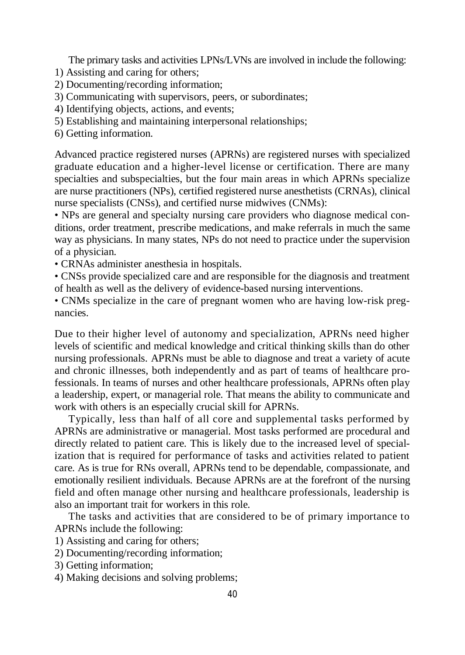The primary tasks and activities LPNs/LVNs are involved in include the following:

- 1) Assisting and caring for others;
- 2) Documenting/recording information;
- 3) Communicating with supervisors, peers, or subordinates;
- 4) Identifying objects, actions, and events;
- 5) Establishing and maintaining interpersonal relationships;
- 6) Getting information.

Advanced practice registered nurses (APRNs) are registered nurses with specialized graduate education and a higher-level license or certification. There are many specialties and subspecialties, but the four main areas in which APRNs specialize are nurse practitioners (NPs), certified registered nurse anesthetists (CRNAs), clinical nurse specialists (CNSs), and certified nurse midwives (CNMs):

• NPs are general and specialty nursing care providers who diagnose medical conditions, order treatment, prescribe medications, and make referrals in much the same way as physicians. In many states, NPs do not need to practice under the supervision of a physician.

- CRNAs administer anesthesia in hospitals.
- CNSs provide specialized care and are responsible for the diagnosis and treatment of health as well as the delivery of evidence-based nursing interventions.

• CNMs specialize in the care of pregnant women who are having low-risk pregnancies.

Due to their higher level of autonomy and specialization, APRNs need higher levels of scientific and medical knowledge and critical thinking skills than do other nursing professionals. APRNs must be able to diagnose and treat a variety of acute and chronic illnesses, both independently and as part of teams of healthcare professionals. In teams of nurses and other healthcare professionals, APRNs often play a leadership, expert, or managerial role. That means the ability to communicate and work with others is an especially crucial skill for APRNs.

Typically, less than half of all core and supplemental tasks performed by APRNs are administrative or managerial. Most tasks performed are procedural and directly related to patient care. This is likely due to the increased level of specialization that is required for performance of tasks and activities related to patient care. As is true for RNs overall, APRNs tend to be dependable, compassionate, and emotionally resilient individuals. Because APRNs are at the forefront of the nursing field and often manage other nursing and healthcare professionals, leadership is also an important trait for workers in this role.

The tasks and activities that are considered to be of primary importance to APRNs include the following:

- 1) Assisting and caring for others;
- 2) Documenting/recording information;
- 3) Getting information;
- 4) Making decisions and solving problems;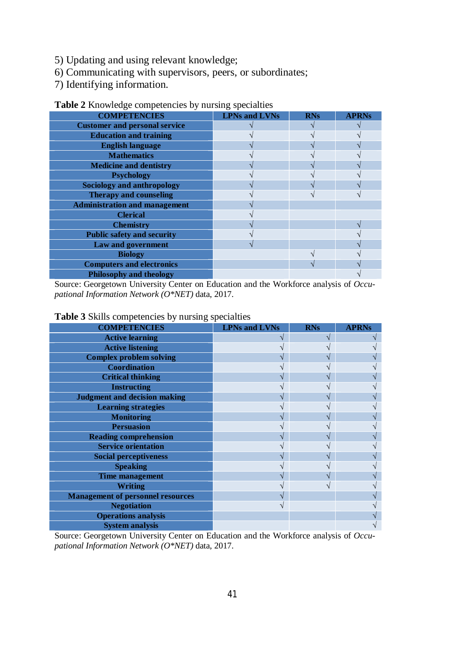- 5) Updating and using relevant knowledge;
- 6) Communicating with supervisors, peers, or subordinates;
- 7) Identifying information.

| <b>COMPETENCIES</b>                  | <b>LPNs and LVNs</b> | <b>RNs</b> | <b>APRNs</b> |
|--------------------------------------|----------------------|------------|--------------|
| <b>Customer and personal service</b> |                      |            |              |
| <b>Education and training</b>        |                      |            |              |
| <b>English language</b>              |                      |            |              |
| <b>Mathematics</b>                   |                      |            |              |
| <b>Medicine and dentistry</b>        |                      |            |              |
| <b>Psychology</b>                    |                      |            |              |
| Sociology and anthropology           |                      |            |              |
| <b>Therapy and counseling</b>        |                      |            |              |
| <b>Administration and management</b> |                      |            |              |
| <b>Clerical</b>                      |                      |            |              |
| <b>Chemistry</b>                     |                      |            |              |
| <b>Public safety and security</b>    |                      |            |              |
| <b>Law and government</b>            |                      |            |              |
| <b>Biology</b>                       |                      |            |              |
| <b>Computers and electronics</b>     |                      |            |              |
| <b>Philosophy and theology</b>       |                      |            |              |

# **Table 2** Knowledge competencies by nursing specialties

Source: Georgetown University Center on Education and the Workforce analysis of *Occupational Information Network (O\*NET)* data, 2017.

#### **Table 3** Skills competencies by nursing specialties

| <b>COMPETENCIES</b>                      | <b>LPNs and LVNs</b> | <b>RNs</b> | <b>APRNs</b> |
|------------------------------------------|----------------------|------------|--------------|
| <b>Active learning</b>                   |                      |            |              |
| <b>Active listening</b>                  |                      |            |              |
| <b>Complex problem solving</b>           |                      |            |              |
| <b>Coordination</b>                      |                      |            |              |
| <b>Critical thinking</b>                 |                      |            |              |
| <b>Instructing</b>                       |                      |            |              |
| <b>Judgment and decision making</b>      |                      |            |              |
| <b>Learning strategies</b>               |                      |            |              |
| <b>Monitoring</b>                        |                      |            |              |
| <b>Persuasion</b>                        |                      |            |              |
| <b>Reading comprehension</b>             |                      |            |              |
| <b>Service orientation</b>               |                      |            |              |
| <b>Social perceptiveness</b>             |                      |            |              |
| <b>Speaking</b>                          |                      |            |              |
| <b>Time management</b>                   |                      |            |              |
| <b>Writing</b>                           |                      |            |              |
| <b>Management of personnel resources</b> |                      |            |              |
| <b>Negotiation</b>                       |                      |            |              |
| <b>Operations analysis</b>               |                      |            |              |
| <b>System analysis</b>                   |                      |            |              |

Source: Georgetown University Center on Education and the Workforce analysis of *Occupational Information Network (O\*NET)* data, 2017.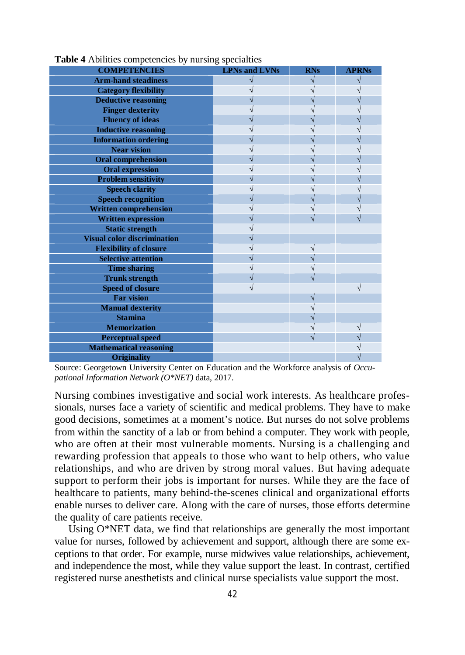| <b>COMPETENCIES</b>                | <b>LPNs and LVNs</b> | <b>RNs</b> | <b>APRNs</b> |
|------------------------------------|----------------------|------------|--------------|
| <b>Arm-hand steadiness</b>         |                      |            |              |
| <b>Category flexibility</b>        |                      |            |              |
| <b>Deductive reasoning</b>         |                      |            |              |
| <b>Finger dexterity</b>            |                      |            |              |
| <b>Fluency of ideas</b>            |                      |            |              |
| <b>Inductive reasoning</b>         |                      |            |              |
| <b>Information ordering</b>        |                      |            |              |
| <b>Near vision</b>                 |                      |            |              |
| <b>Oral comprehension</b>          |                      |            |              |
| <b>Oral expression</b>             |                      |            |              |
| <b>Problem sensitivity</b>         |                      |            |              |
| <b>Speech clarity</b>              |                      |            |              |
| <b>Speech recognition</b>          |                      |            |              |
| <b>Written comprehension</b>       |                      |            |              |
| <b>Written expression</b>          |                      |            |              |
| <b>Static strength</b>             |                      |            |              |
| <b>Visual color discrimination</b> |                      |            |              |
| <b>Flexibility of closure</b>      |                      |            |              |
| <b>Selective attention</b>         |                      |            |              |
| <b>Time sharing</b>                |                      |            |              |
| <b>Trunk strength</b>              |                      |            |              |
| <b>Speed of closure</b>            |                      |            | V            |
| <b>Far vision</b>                  |                      |            |              |
| <b>Manual dexterity</b>            |                      |            |              |
| <b>Stamina</b>                     |                      |            |              |
| <b>Memorization</b>                |                      |            |              |
| <b>Perceptual speed</b>            |                      |            |              |
| <b>Mathematical reasoning</b>      |                      |            |              |
| <b>Originality</b>                 |                      |            |              |

**Table 4** Abilities competencies by nursing specialties

Source: Georgetown University Center on Education and the Workforce analysis of *Occupational Information Network (O\*NET)* data, 2017.

Nursing combines investigative and social work interests. As healthcare professionals, nurses face a variety of scientific and medical problems. They have to make good decisions, sometimes at a moment's notice. But nurses do not solve problems from within the sanctity of a lab or from behind a computer. They work with people, who are often at their most vulnerable moments. Nursing is a challenging and rewarding profession that appeals to those who want to help others, who value relationships, and who are driven by strong moral values. But having adequate support to perform their jobs is important for nurses. While they are the face of healthcare to patients, many behind-the-scenes clinical and organizational efforts enable nurses to deliver care. Along with the care of nurses, those efforts determine the quality of care patients receive.

Using O\*NET data, we find that relationships are generally the most important value for nurses, followed by achievement and support, although there are some exceptions to that order. For example, nurse midwives value relationships, achievement, and independence the most, while they value support the least. In contrast, certified registered nurse anesthetists and clinical nurse specialists value support the most.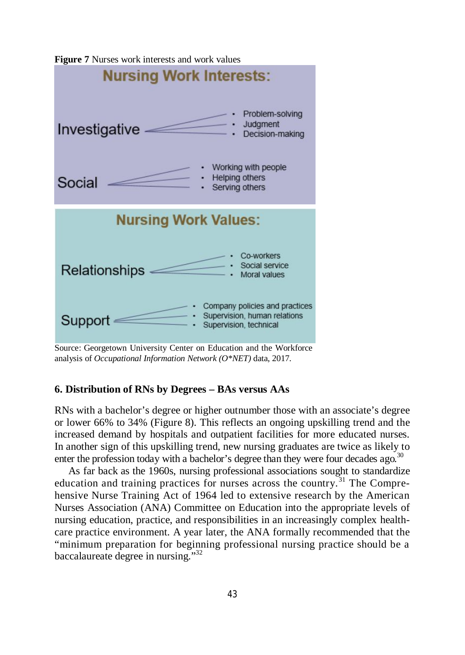

**Figure 7** Nurses work interests and work values

Source: Georgetown University Center on Education and the Workforce analysis of *Occupational Information Network (O\*NET)* data, 2017.

# **6. Distribution of RNs by Degrees – BAs versus AAs**

RNs with a bachelor's degree or higher outnumber those with an associate's degree or lower 66% to 34% (Figure 8). This reflects an ongoing upskilling trend and the increased demand by hospitals and outpatient facilities for more educated nurses. In another sign of this upskilling trend, new nursing graduates are twice as likely to enter the profession today with a bachelor's degree than they were four decades ago.<sup>30</sup>

As far back as the 1960s, nursing professional associations sought to standardize education and training practices for nurses across the country.<sup>31</sup> The Comprehensive Nurse Training Act of 1964 led to extensive research by the American Nurses Association (ANA) Committee on Education into the appropriate levels of nursing education, practice, and responsibilities in an increasingly complex healthcare practice environment. A year later, the ANA formally recommended that the "minimum preparation for beginning professional nursing practice should be a baccalaureate degree in nursing."32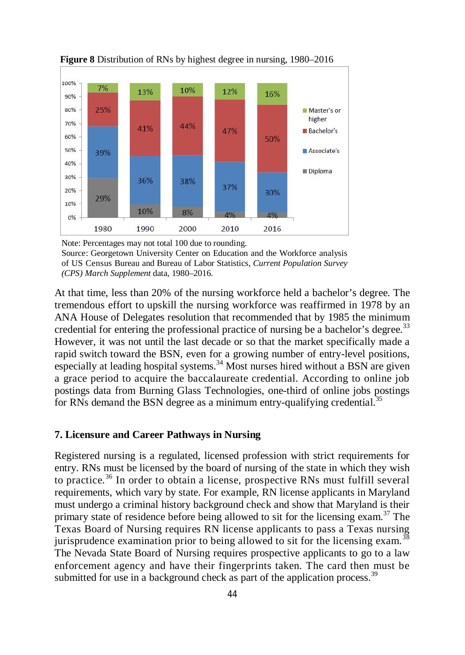

 **Figure 8** Distribution of RNs by highest degree in nursing, 1980–2016

Note: Percentages may not total 100 due to rounding. Source: Georgetown University Center on Education and the Workforce analysis of US Census Bureau and Bureau of Labor Statistics, *Current Population Survey (CPS) March Supplement* data, 1980–2016.

At that time, less than 20% of the nursing workforce held a bachelor's degree. The tremendous effort to upskill the nursing workforce was reaffirmed in 1978 by an ANA House of Delegates resolution that recommended that by 1985 the minimum credential for entering the professional practice of nursing be a bachelor's degree.<sup>33</sup> However, it was not until the last decade or so that the market specifically made a rapid switch toward the BSN, even for a growing number of entry-level positions, especially at leading hospital systems.<sup>34</sup> Most nurses hired without a BSN are given a grace period to acquire the baccalaureate credential. According to online job postings data from Burning Glass Technologies, one-third of online jobs postings for RNs demand the BSN degree as a minimum entry-qualifying credential.<sup>35</sup>

## **7. Licensure and Career Pathways in Nursing**

Registered nursing is a regulated, licensed profession with strict requirements for entry. RNs must be licensed by the board of nursing of the state in which they wish to practice.<sup>36</sup> In order to obtain a license, prospective RNs must fulfill several requirements, which vary by state. For example, RN license applicants in Maryland must undergo a criminal history background check and show that Maryland is their primary state of residence before being allowed to sit for the licensing exam.<sup>37</sup> The Texas Board of Nursing requires RN license applicants to pass a Texas nursing jurisprudence examination prior to being allowed to sit for the licensing exam.<sup>3</sup> The Nevada State Board of Nursing requires prospective applicants to go to a law enforcement agency and have their fingerprints taken. The card then must be submitted for use in a background check as part of the application process.<sup>39</sup>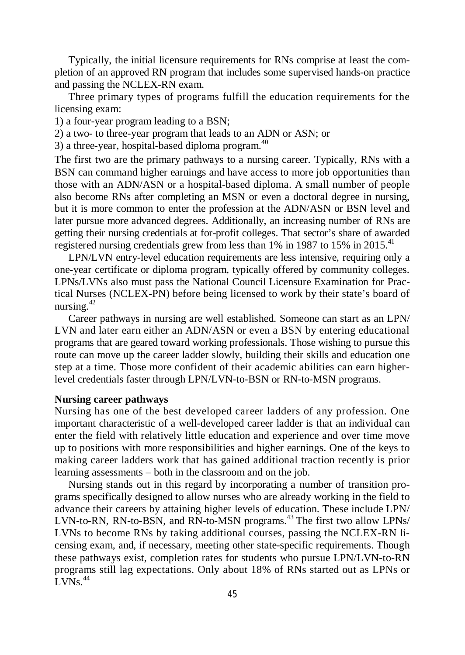Typically, the initial licensure requirements for RNs comprise at least the completion of an approved RN program that includes some supervised hands-on practice and passing the NCLEX-RN exam.

Three primary types of programs fulfill the education requirements for the licensing exam:

1) a four-year program leading to a BSN;

2) a two- to three-year program that leads to an ADN or ASN; or

3) a three-year, hospital-based diploma program. $40$ 

The first two are the primary pathways to a nursing career. Typically, RNs with a BSN can command higher earnings and have access to more job opportunities than those with an ADN/ASN or a hospital-based diploma. A small number of people also become RNs after completing an MSN or even a doctoral degree in nursing, but it is more common to enter the profession at the ADN/ASN or BSN level and later pursue more advanced degrees. Additionally, an increasing number of RNs are getting their nursing credentials at for-profit colleges. That sector's share of awarded registered nursing credentials grew from less than  $1\%$  in 1987 to 15% in 2015.<sup>41</sup>

LPN/LVN entry-level education requirements are less intensive, requiring only a one-year certificate or diploma program, typically offered by community colleges. LPNs/LVNs also must pass the National Council Licensure Examination for Practical Nurses (NCLEX-PN) before being licensed to work by their state's board of nursing. $42$ 

Career pathways in nursing are well established. Someone can start as an LPN/ LVN and later earn either an ADN/ASN or even a BSN by entering educational programs that are geared toward working professionals. Those wishing to pursue this route can move up the career ladder slowly, building their skills and education one step at a time. Those more confident of their academic abilities can earn higherlevel credentials faster through LPN/LVN-to-BSN or RN-to-MSN programs.

### **Nursing career pathways**

Nursing has one of the best developed career ladders of any profession. One important characteristic of a well-developed career ladder is that an individual can enter the field with relatively little education and experience and over time move up to positions with more responsibilities and higher earnings. One of the keys to making career ladders work that has gained additional traction recently is prior learning assessments – both in the classroom and on the job.

Nursing stands out in this regard by incorporating a number of transition programs specifically designed to allow nurses who are already working in the field to advance their careers by attaining higher levels of education. These include LPN/ LVN-to-RN, RN-to-BSN, and RN-to-MSN programs.<sup>43</sup> The first two allow LPNs/ LVNs to become RNs by taking additional courses, passing the NCLEX-RN licensing exam, and, if necessary, meeting other state-specific requirements. Though these pathways exist, completion rates for students who pursue LPN/LVN-to-RN programs still lag expectations. Only about 18% of RNs started out as LPNs or  $LVNs.<sup>44</sup>$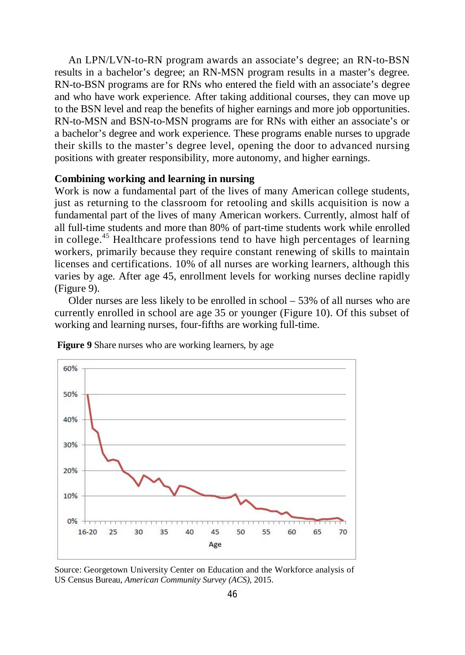An LPN/LVN-to-RN program awards an associate's degree; an RN-to-BSN results in a bachelor's degree; an RN-MSN program results in a master's degree. RN-to-BSN programs are for RNs who entered the field with an associate's degree and who have work experience. After taking additional courses, they can move up to the BSN level and reap the benefits of higher earnings and more job opportunities. RN-to-MSN and BSN-to-MSN programs are for RNs with either an associate's or a bachelor's degree and work experience. These programs enable nurses to upgrade their skills to the master's degree level, opening the door to advanced nursing positions with greater responsibility, more autonomy, and higher earnings.

# **Combining working and learning in nursing**

Work is now a fundamental part of the lives of many American college students, just as returning to the classroom for retooling and skills acquisition is now a fundamental part of the lives of many American workers. Currently, almost half of all full-time students and more than 80% of part-time students work while enrolled in college.<sup>45</sup> Healthcare professions tend to have high percentages of learning workers, primarily because they require constant renewing of skills to maintain licenses and certifications. 10% of all nurses are working learners, although this varies by age. After age 45, enrollment levels for working nurses decline rapidly (Figure 9).

Older nurses are less likely to be enrolled in school – 53% of all nurses who are currently enrolled in school are age 35 or younger (Figure 10). Of this subset of working and learning nurses, four-fifths are working full-time.



**Figure 9** Share nurses who are working learners, by age

Source: Georgetown University Center on Education and the Workforce analysis of US Census Bureau, *American Community Survey (ACS)*, 2015.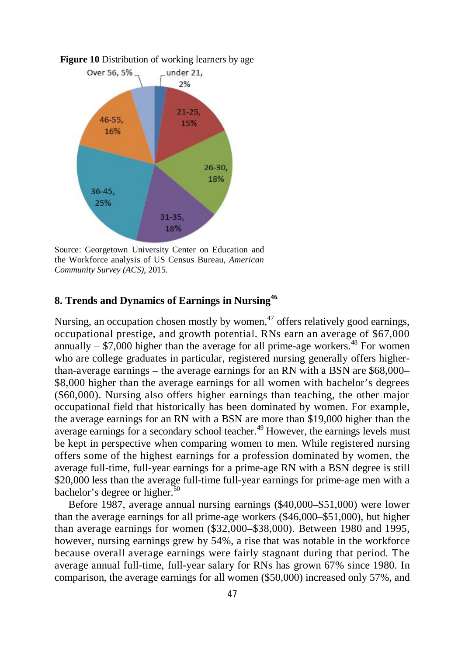

Source: Georgetown University Center on Education and the Workforce analysis of US Census Bureau, *American Community Survey (ACS)*, 2015.

# **8. Trends and Dynamics of Earnings in Nursing<sup>46</sup>**

Nursing, an occupation chosen mostly by women, $47$  offers relatively good earnings, occupational prestige, and growth potential. RNs earn an average of \$67,000 annually  $-$  \$7,000 higher than the average for all prime-age workers.<sup>48</sup> For women who are college graduates in particular, registered nursing generally offers higherthan-average earnings – the average earnings for an RN with a BSN are \$68,000– \$8,000 higher than the average earnings for all women with bachelor's degrees (\$60,000). Nursing also offers higher earnings than teaching, the other major occupational field that historically has been dominated by women. For example, the average earnings for an RN with a BSN are more than \$19,000 higher than the average earnings for a secondary school teacher.<sup>49</sup> However, the earnings levels must be kept in perspective when comparing women to men. While registered nursing offers some of the highest earnings for a profession dominated by women, the average full-time, full-year earnings for a prime-age RN with a BSN degree is still \$20,000 less than the average full-time full-year earnings for prime-age men with a bachelor's degree or higher.<sup>50</sup>

Before 1987, average annual nursing earnings (\$40,000–\$51,000) were lower than the average earnings for all prime-age workers (\$46,000–\$51,000), but higher than average earnings for women (\$32,000–\$38,000). Between 1980 and 1995, however, nursing earnings grew by 54%, a rise that was notable in the workforce because overall average earnings were fairly stagnant during that period. The average annual full-time, full-year salary for RNs has grown 67% since 1980. In comparison, the average earnings for all women (\$50,000) increased only 57%, and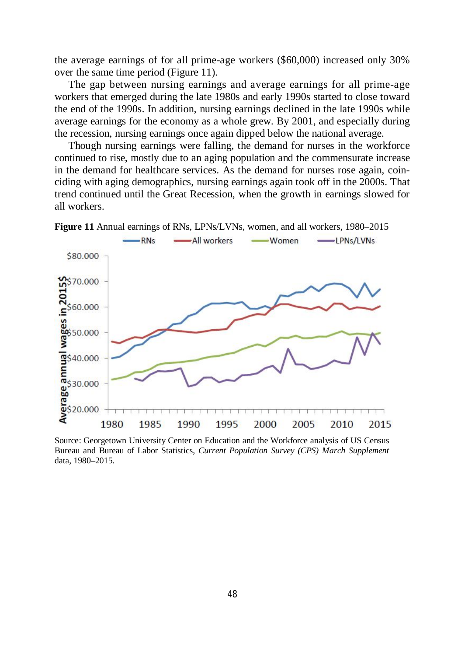the average earnings of for all prime-age workers (\$60,000) increased only 30% over the same time period (Figure 11).

The gap between nursing earnings and average earnings for all prime-age workers that emerged during the late 1980s and early 1990s started to close toward the end of the 1990s. In addition, nursing earnings declined in the late 1990s while average earnings for the economy as a whole grew. By 2001, and especially during the recession, nursing earnings once again dipped below the national average.

Though nursing earnings were falling, the demand for nurses in the workforce continued to rise, mostly due to an aging population and the commensurate increase in the demand for healthcare services. As the demand for nurses rose again, coinciding with aging demographics, nursing earnings again took off in the 2000s. That trend continued until the Great Recession, when the growth in earnings slowed for all workers.



**Figure 11** Annual earnings of RNs, LPNs/LVNs, women, and all workers, 1980–2015

Source: Georgetown University Center on Education and the Workforce analysis of US Census Bureau and Bureau of Labor Statistics, *Current Population Survey (CPS) March Supplement*  data, 1980–2015.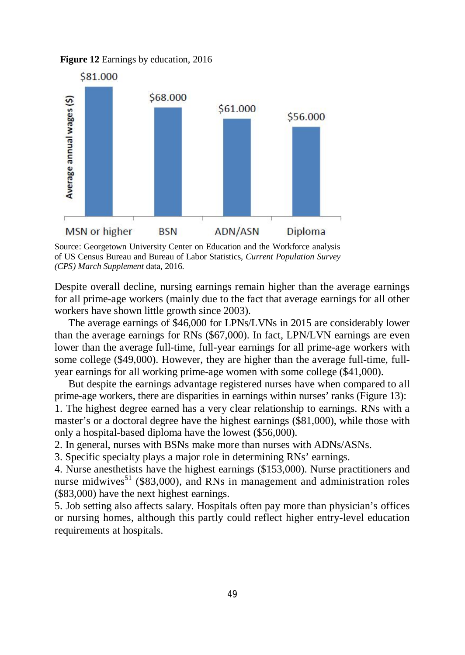**Figure 12** Earnings by education, 2016



Source: Georgetown University Center on Education and the Workforce analysis of US Census Bureau and Bureau of Labor Statistics, *Current Population Survey (CPS) March Supplement* data, 2016.

Despite overall decline, nursing earnings remain higher than the average earnings for all prime-age workers (mainly due to the fact that average earnings for all other workers have shown little growth since 2003).

The average earnings of \$46,000 for LPNs/LVNs in 2015 are considerably lower than the average earnings for RNs (\$67,000). In fact, LPN/LVN earnings are even lower than the average full-time, full-year earnings for all prime-age workers with some college (\$49,000). However, they are higher than the average full-time, fullyear earnings for all working prime-age women with some college (\$41,000).

But despite the earnings advantage registered nurses have when compared to all prime-age workers, there are disparities in earnings within nurses' ranks (Figure 13): 1. The highest degree earned has a very clear relationship to earnings. RNs with a master's or a doctoral degree have the highest earnings (\$81,000), while those with only a hospital-based diploma have the lowest (\$56,000).

2. In general, nurses with BSNs make more than nurses with ADNs/ASNs.

3. Specific specialty plays a major role in determining RNs' earnings.

4. Nurse anesthetists have the highest earnings (\$153,000). Nurse practitioners and nurse midwives<sup>51</sup> (\$83,000), and RNs in management and administration roles (\$83,000) have the next highest earnings.

5. Job setting also affects salary. Hospitals often pay more than physician's offices or nursing homes, although this partly could reflect higher entry-level education requirements at hospitals.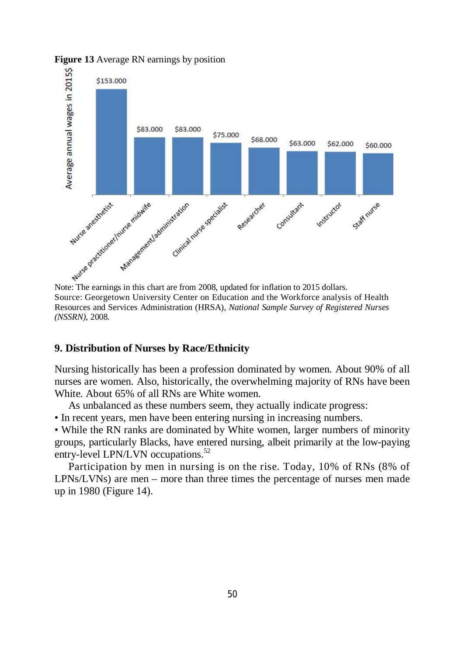

**Figure 13** Average RN earnings by position

Source: Georgetown University Center on Education and the Workforce analysis of Health Resources and Services Administration (HRSA), *National Sample Survey of Registered Nurses (NSSRN)*, 2008.

### **9. Distribution of Nurses by Race/Ethnicity**

Nursing historically has been a profession dominated by women. About 90% of all nurses are women. Also, historically, the overwhelming majority of RNs have been White. About 65% of all RNs are White women.

As unbalanced as these numbers seem, they actually indicate progress:

• In recent years, men have been entering nursing in increasing numbers.

• While the RN ranks are dominated by White women, larger numbers of minority groups, particularly Blacks, have entered nursing, albeit primarily at the low-paying entry-level LPN/LVN occupations.<sup>52</sup>

Participation by men in nursing is on the rise. Today, 10% of RNs (8% of LPNs/LVNs) are men – more than three times the percentage of nurses men made up in 1980 (Figure 14).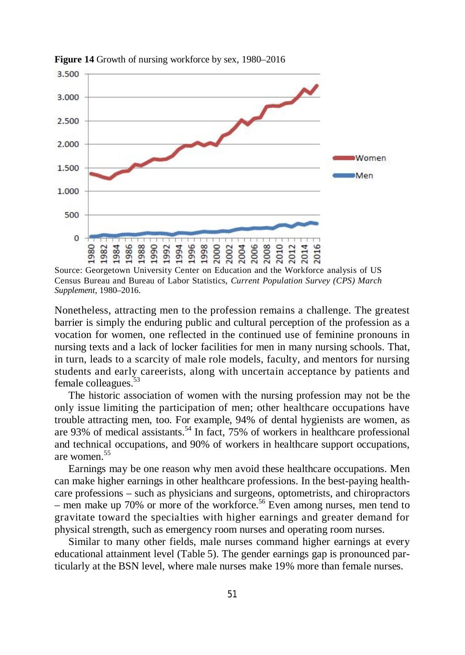

**Figure 14** Growth of nursing workforce by sex, 1980–2016

Source: Georgetown University Center on Education and the Workforce analysis of US Census Bureau and Bureau of Labor Statistics, *Current Population Survey (CPS) March Supplement*, 1980–2016.

Nonetheless, attracting men to the profession remains a challenge. The greatest barrier is simply the enduring public and cultural perception of the profession as a vocation for women, one reflected in the continued use of feminine pronouns in nursing texts and a lack of locker facilities for men in many nursing schools. That, in turn, leads to a scarcity of male role models, faculty, and mentors for nursing students and early careerists, along with uncertain acceptance by patients and female colleagues.<sup>53</sup>

The historic association of women with the nursing profession may not be the only issue limiting the participation of men; other healthcare occupations have trouble attracting men, too. For example, 94% of dental hygienists are women, as are 93% of medical assistants.<sup>54</sup> In fact, 75% of workers in healthcare professional and technical occupations, and 90% of workers in healthcare support occupations, are women.<sup>55</sup>

Earnings may be one reason why men avoid these healthcare occupations. Men can make higher earnings in other healthcare professions. In the best-paying healthcare professions – such as physicians and surgeons, optometrists, and chiropractors – men make up 70% or more of the workforce.<sup>56</sup> Even among nurses, men tend to gravitate toward the specialties with higher earnings and greater demand for physical strength, such as emergency room nurses and operating room nurses.

Similar to many other fields, male nurses command higher earnings at every educational attainment level (Table 5). The gender earnings gap is pronounced particularly at the BSN level, where male nurses make 19% more than female nurses.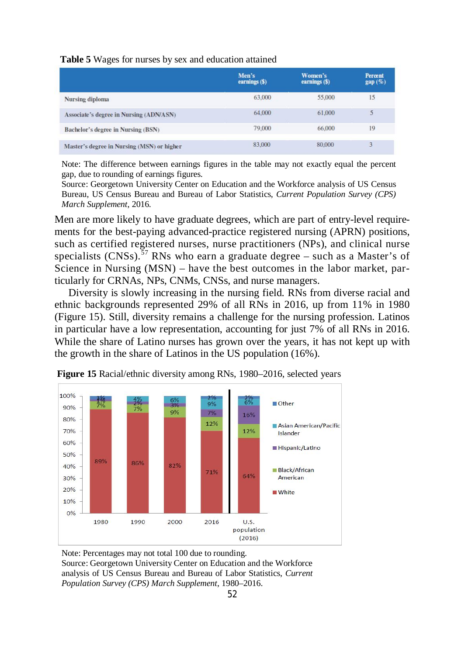**Table 5** Wages for nurses by sex and education attained

|                                                | Men's<br>earnings (\$) | Women's<br>earnings (\$) | <b>Percent</b><br>gap(%) |
|------------------------------------------------|------------------------|--------------------------|--------------------------|
| Nursing diploma                                | 63,000                 | 55,000                   | 15                       |
| <b>Associate's degree in Nursing (ADN/ASN)</b> | 64,000                 | 61,000                   | 5                        |
| Bachelor's degree in Nursing (BSN)             | 79,000                 | 66,000                   | 19                       |
| Master's degree in Nursing (MSN) or higher     | 83,000                 | 80,000                   | 3                        |

Note: The difference between earnings figures in the table may not exactly equal the percent gap, due to rounding of earnings figures.

Source: Georgetown University Center on Education and the Workforce analysis of US Census Bureau, US Census Bureau and Bureau of Labor Statistics, *Current Population Survey (CPS) March Supplement*, 2016.

Men are more likely to have graduate degrees, which are part of entry-level requirements for the best-paying advanced-practice registered nursing (APRN) positions, such as certified registered nurses, nurse practitioners (NPs), and clinical nurse specialists  $(CNSs)$ .<sup>57</sup> RNs who earn a graduate degree – such as a Master's of Science in Nursing (MSN) – have the best outcomes in the labor market, particularly for CRNAs, NPs, CNMs, CNSs, and nurse managers.

Diversity is slowly increasing in the nursing field. RNs from diverse racial and ethnic backgrounds represented 29% of all RNs in 2016, up from 11% in 1980 (Figure 15). Still, diversity remains a challenge for the nursing profession. Latinos in particular have a low representation, accounting for just 7% of all RNs in 2016. While the share of Latino nurses has grown over the years, it has not kept up with the growth in the share of Latinos in the US population (16%).



 **Figure 15** Racial/ethnic diversity among RNs, 1980–2016, selected years

Note: Percentages may not total 100 due to rounding. Source: Georgetown University Center on Education and the Workforce analysis of US Census Bureau and Bureau of Labor Statistics, *Current Population Survey (CPS) March Supplement*, 1980–2016.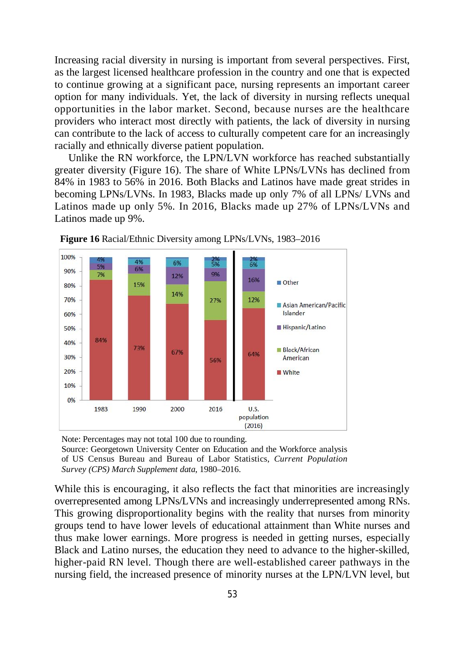Increasing racial diversity in nursing is important from several perspectives. First, as the largest licensed healthcare profession in the country and one that is expected to continue growing at a significant pace, nursing represents an important career option for many individuals. Yet, the lack of diversity in nursing reflects unequal opportunities in the labor market. Second, because nurses are the healthcare providers who interact most directly with patients, the lack of diversity in nursing can contribute to the lack of access to culturally competent care for an increasingly racially and ethnically diverse patient population.

Unlike the RN workforce, the LPN/LVN workforce has reached substantially greater diversity (Figure 16). The share of White LPNs/LVNs has declined from 84% in 1983 to 56% in 2016. Both Blacks and Latinos have made great strides in becoming LPNs/LVNs. In 1983, Blacks made up only 7% of all LPNs/ LVNs and Latinos made up only 5%. In 2016, Blacks made up 27% of LPNs/LVNs and Latinos made up 9%.



 **Figure 16** Racial/Ethnic Diversity among LPNs/LVNs, 1983–2016

Note: Percentages may not total 100 due to rounding. Source: Georgetown University Center on Education and the Workforce analysis of US Census Bureau and Bureau of Labor Statistics, *Current Population Survey (CPS) March Supplement data*, 1980–2016.

While this is encouraging, it also reflects the fact that minorities are increasingly overrepresented among LPNs/LVNs and increasingly underrepresented among RNs. This growing disproportionality begins with the reality that nurses from minority groups tend to have lower levels of educational attainment than White nurses and thus make lower earnings. More progress is needed in getting nurses, especially Black and Latino nurses, the education they need to advance to the higher-skilled, higher-paid RN level. Though there are well-established career pathways in the nursing field, the increased presence of minority nurses at the LPN/LVN level, but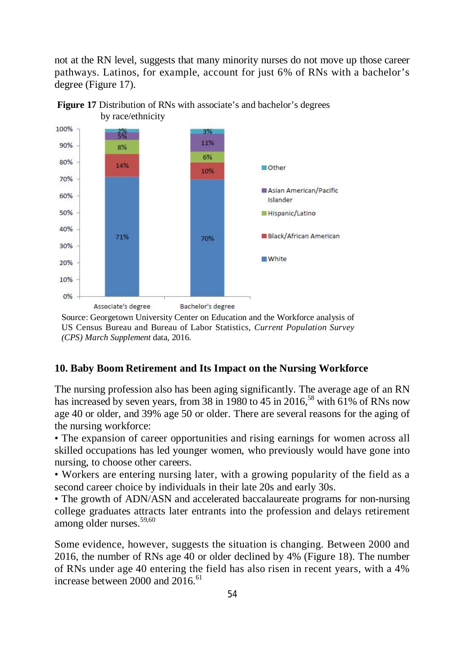not at the RN level, suggests that many minority nurses do not move up those career pathways. Latinos, for example, account for just 6% of RNs with a bachelor's degree (Figure 17).





Source: Georgetown University Center on Education and the Workforce analysis of US Census Bureau and Bureau of Labor Statistics, *Current Population Survey (CPS) March Supplement* data, 2016.

# **10. Baby Boom Retirement and Its Impact on the Nursing Workforce**

The nursing profession also has been aging significantly. The average age of an RN has increased by seven years, from 38 in 1980 to 45 in 2016,<sup>58</sup> with 61% of RNs now age 40 or older, and 39% age 50 or older. There are several reasons for the aging of the nursing workforce:

• The expansion of career opportunities and rising earnings for women across all skilled occupations has led younger women, who previously would have gone into nursing, to choose other careers.

• Workers are entering nursing later, with a growing popularity of the field as a second career choice by individuals in their late 20s and early 30s.

• The growth of ADN/ASN and accelerated baccalaureate programs for non-nursing college graduates attracts later entrants into the profession and delays retirement among older nurses.<sup>59,60</sup>

Some evidence, however, suggests the situation is changing. Between 2000 and 2016, the number of RNs age 40 or older declined by 4% (Figure 18). The number of RNs under age 40 entering the field has also risen in recent years, with a 4% increase between  $2000$  and  $2016$ <sup> $61$ </sup>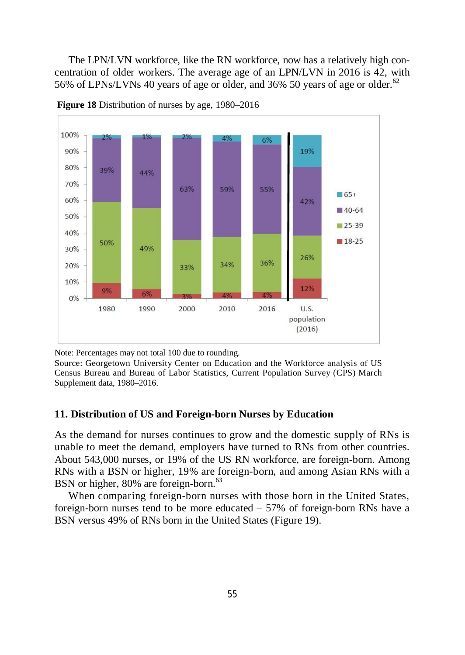The LPN/LVN workforce, like the RN workforce, now has a relatively high concentration of older workers. The average age of an LPN/LVN in 2016 is 42, with 56% of LPNs/LVNs 40 years of age or older, and 36% 50 years of age or older.<sup>62</sup>



**Figure 18** Distribution of nurses by age, 1980–2016

Note: Percentages may not total 100 due to rounding.

Source: Georgetown University Center on Education and the Workforce analysis of US Census Bureau and Bureau of Labor Statistics, Current Population Survey (CPS) March Supplement data, 1980–2016.

# **11. Distribution of US and Foreign-born Nurses by Education**

As the demand for nurses continues to grow and the domestic supply of RNs is unable to meet the demand, employers have turned to RNs from other countries. About 543,000 nurses, or 19% of the US RN workforce, are foreign-born. Among RNs with a BSN or higher, 19% are foreign-born, and among Asian RNs with a BSN or higher, 80% are foreign-born.<sup>63</sup>

When comparing foreign-born nurses with those born in the United States, foreign-born nurses tend to be more educated – 57% of foreign-born RNs have a BSN versus 49% of RNs born in the United States (Figure 19).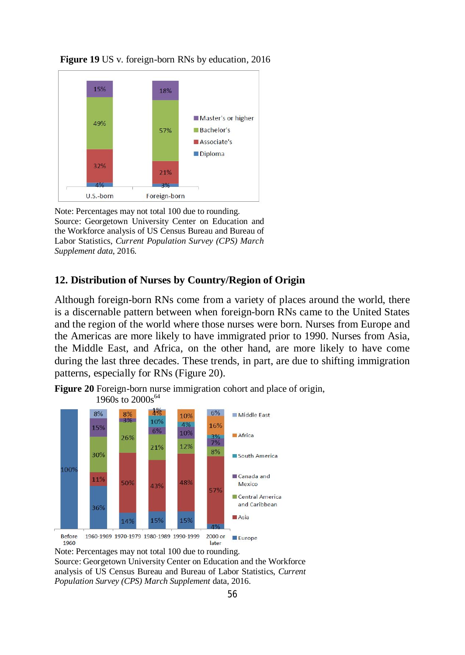



Note: Percentages may not total 100 due to rounding. Source: Georgetown University Center on Education and the Workforce analysis of US Census Bureau and Bureau of Labor Statistics, *Current Population Survey (CPS) March Supplement data*, 2016.

# **12. Distribution of Nurses by Country/Region of Origin**

Although foreign-born RNs come from a variety of places around the world, there is a discernable pattern between when foreign-born RNs came to the United States and the region of the world where those nurses were born. Nurses from Europe and the Americas are more likely to have immigrated prior to 1990. Nurses from Asia, the Middle East, and Africa, on the other hand, are more likely to have come during the last three decades. These trends, in part, are due to shifting immigration patterns, especially for RNs (Figure 20).



**Figure 20** Foreign-born nurse immigration cohort and place of origin,

Note: Percentages may not total 100 due to rounding.

Source: Georgetown University Center on Education and the Workforce analysis of US Census Bureau and Bureau of Labor Statistics, *Current Population Survey (CPS) March Supplement* data, 2016.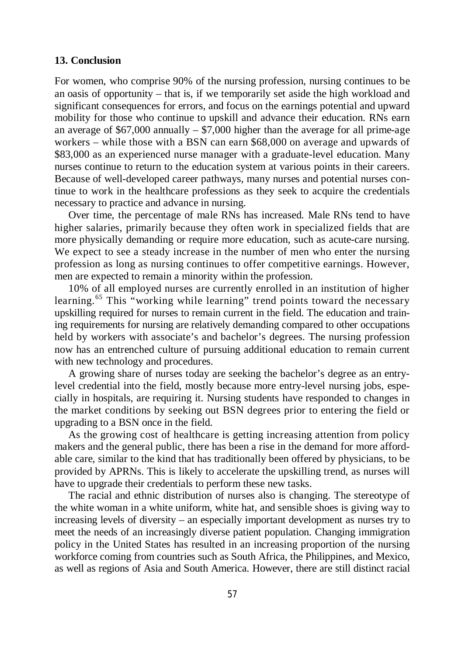# **13. Conclusion**

For women, who comprise 90% of the nursing profession, nursing continues to be an oasis of opportunity – that is, if we temporarily set aside the high workload and significant consequences for errors, and focus on the earnings potential and upward mobility for those who continue to upskill and advance their education. RNs earn an average of  $$67,000$  annually  $- $7,000$  higher than the average for all prime-age workers – while those with a BSN can earn \$68,000 on average and upwards of \$83,000 as an experienced nurse manager with a graduate-level education. Many nurses continue to return to the education system at various points in their careers. Because of well-developed career pathways, many nurses and potential nurses continue to work in the healthcare professions as they seek to acquire the credentials necessary to practice and advance in nursing.

Over time, the percentage of male RNs has increased. Male RNs tend to have higher salaries, primarily because they often work in specialized fields that are more physically demanding or require more education, such as acute-care nursing. We expect to see a steady increase in the number of men who enter the nursing profession as long as nursing continues to offer competitive earnings. However, men are expected to remain a minority within the profession.

10% of all employed nurses are currently enrolled in an institution of higher learning.<sup>65</sup> This "working while learning" trend points toward the necessary upskilling required for nurses to remain current in the field. The education and training requirements for nursing are relatively demanding compared to other occupations held by workers with associate's and bachelor's degrees. The nursing profession now has an entrenched culture of pursuing additional education to remain current with new technology and procedures.

A growing share of nurses today are seeking the bachelor's degree as an entrylevel credential into the field, mostly because more entry-level nursing jobs, especially in hospitals, are requiring it. Nursing students have responded to changes in the market conditions by seeking out BSN degrees prior to entering the field or upgrading to a BSN once in the field.

As the growing cost of healthcare is getting increasing attention from policy makers and the general public, there has been a rise in the demand for more affordable care, similar to the kind that has traditionally been offered by physicians, to be provided by APRNs. This is likely to accelerate the upskilling trend, as nurses will have to upgrade their credentials to perform these new tasks.

The racial and ethnic distribution of nurses also is changing. The stereotype of the white woman in a white uniform, white hat, and sensible shoes is giving way to increasing levels of diversity – an especially important development as nurses try to meet the needs of an increasingly diverse patient population. Changing immigration policy in the United States has resulted in an increasing proportion of the nursing workforce coming from countries such as South Africa, the Philippines, and Mexico, as well as regions of Asia and South America. However, there are still distinct racial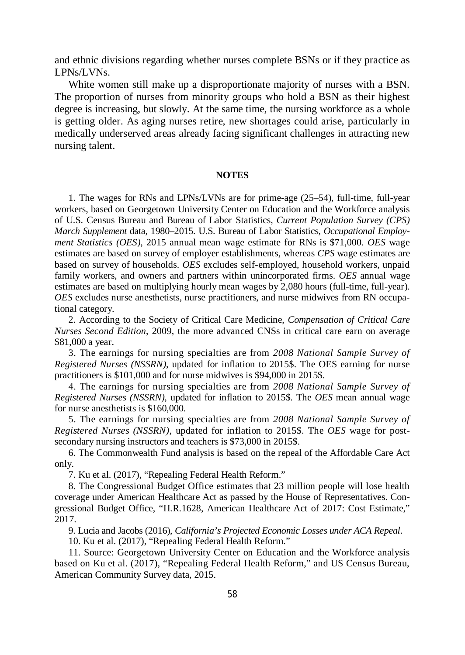and ethnic divisions regarding whether nurses complete BSNs or if they practice as LPNs/LVNs.

White women still make up a disproportionate majority of nurses with a BSN. The proportion of nurses from minority groups who hold a BSN as their highest degree is increasing, but slowly. At the same time, the nursing workforce as a whole is getting older. As aging nurses retire, new shortages could arise, particularly in medically underserved areas already facing significant challenges in attracting new nursing talent.

#### **NOTES**

1. The wages for RNs and LPNs/LVNs are for prime-age (25–54), full-time, full-year workers, based on Georgetown University Center on Education and the Workforce analysis of U.S. Census Bureau and Bureau of Labor Statistics, *Current Population Survey (CPS) March Supplement* data, 1980–2015. U.S. Bureau of Labor Statistics, *Occupational Employment Statistics (OES)*, 2015 annual mean wage estimate for RNs is \$71,000. *OES* wage estimates are based on survey of employer establishments, whereas *CPS* wage estimates are based on survey of households. *OES* excludes self-employed, household workers, unpaid family workers, and owners and partners within unincorporated firms. *OES* annual wage estimates are based on multiplying hourly mean wages by 2,080 hours (full-time, full-year). *OES* excludes nurse anesthetists, nurse practitioners, and nurse midwives from RN occupational category.

2. According to the Society of Critical Care Medicine, *Compensation of Critical Care Nurses Second Edition*, 2009, the more advanced CNSs in critical care earn on average \$81,000 a year.

3. The earnings for nursing specialties are from *2008 National Sample Survey of Registered Nurses (NSSRN)*, updated for inflation to 2015\$. The OES earning for nurse practitioners is \$101,000 and for nurse midwives is \$94,000 in 2015\$.

4. The earnings for nursing specialties are from *2008 National Sample Survey of Registered Nurses (NSSRN)*, updated for inflation to 2015\$. The *OES* mean annual wage for nurse anesthetists is \$160,000.

5. The earnings for nursing specialties are from *2008 National Sample Survey of Registered Nurses (NSSRN)*, updated for inflation to 2015\$. The *OES* wage for postsecondary nursing instructors and teachers is \$73,000 in 2015\$.

6. The Commonwealth Fund analysis is based on the repeal of the Affordable Care Act only.

7. Ku et al. (2017), "Repealing Federal Health Reform."

8. The Congressional Budget Office estimates that 23 million people will lose health coverage under American Healthcare Act as passed by the House of Representatives. Congressional Budget Office, "H.R.1628, American Healthcare Act of 2017: Cost Estimate," 2017.

9. Lucia and Jacobs (2016), *California's Projected Economic Losses under ACA Repeal*.

10. Ku et al. (2017), "Repealing Federal Health Reform."

11. Source: Georgetown University Center on Education and the Workforce analysis based on Ku et al. (2017), "Repealing Federal Health Reform," and US Census Bureau, American Community Survey data, 2015.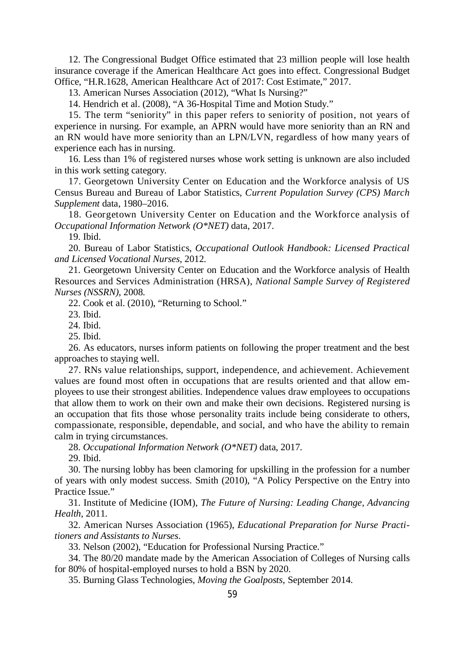12. The Congressional Budget Office estimated that 23 million people will lose health insurance coverage if the American Healthcare Act goes into effect. Congressional Budget Office, "H.R.1628, American Healthcare Act of 2017: Cost Estimate," 2017.

13. American Nurses Association (2012), "What Is Nursing?"

14. Hendrich et al. (2008), "A 36-Hospital Time and Motion Study."

15. The term "seniority" in this paper refers to seniority of position, not years of experience in nursing. For example, an APRN would have more seniority than an RN and an RN would have more seniority than an LPN/LVN, regardless of how many years of experience each has in nursing.

16. Less than 1% of registered nurses whose work setting is unknown are also included in this work setting category.

17. Georgetown University Center on Education and the Workforce analysis of US Census Bureau and Bureau of Labor Statistics, *Current Population Survey (CPS) March Supplement* data, 1980–2016.

18. Georgetown University Center on Education and the Workforce analysis of *Occupational Information Network (O\*NET)* data, 2017.

19. Ibid.

20. Bureau of Labor Statistics, *Occupational Outlook Handbook: Licensed Practical and Licensed Vocational Nurses*, 2012.

21. Georgetown University Center on Education and the Workforce analysis of Health Resources and Services Administration (HRSA), *National Sample Survey of Registered Nurses (NSSRN)*, 2008.

22. Cook et al. (2010), "Returning to School."

23. Ibid.

24. Ibid.

25. Ibid.

26. As educators, nurses inform patients on following the proper treatment and the best approaches to staying well.

27. RNs value relationships, support, independence, and achievement. Achievement values are found most often in occupations that are results oriented and that allow employees to use their strongest abilities. Independence values draw employees to occupations that allow them to work on their own and make their own decisions. Registered nursing is an occupation that fits those whose personality traits include being considerate to others, compassionate, responsible, dependable, and social, and who have the ability to remain calm in trying circumstances.

28. *Occupational Information Network (O\*NET)* data, 2017.

29. Ibid.

30. The nursing lobby has been clamoring for upskilling in the profession for a number of years with only modest success. Smith (2010), "A Policy Perspective on the Entry into Practice Issue."

31. Institute of Medicine (IOM), *The Future of Nursing: Leading Change, Advancing Health*, 2011.

32. American Nurses Association (1965), *Educational Preparation for Nurse Practitioners and Assistants to Nurses*.

33. Nelson (2002), "Education for Professional Nursing Practice."

34. The 80/20 mandate made by the American Association of Colleges of Nursing calls for 80% of hospital-employed nurses to hold a BSN by 2020.

35. Burning Glass Technologies, *Moving the Goalposts*, September 2014.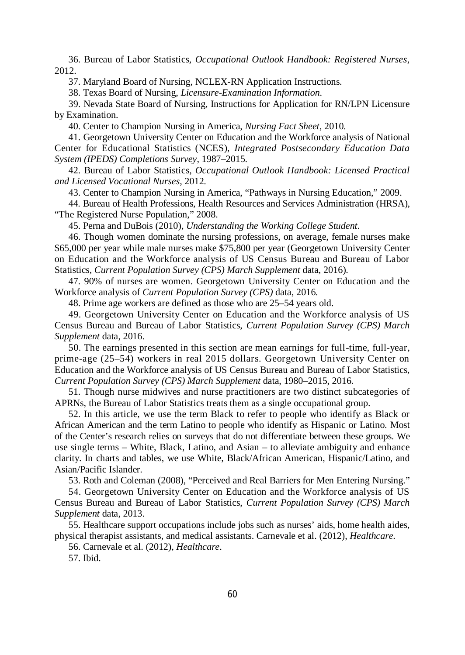36. Bureau of Labor Statistics, *Occupational Outlook Handbook: Registered Nurses*, 2012.

37. Maryland Board of Nursing, NCLEX-RN Application Instructions.

38. Texas Board of Nursing, *Licensure-Examination Information*.

39. Nevada State Board of Nursing, Instructions for Application for RN/LPN Licensure by Examination.

40. Center to Champion Nursing in America, *Nursing Fact Sheet*, 2010.

41. Georgetown University Center on Education and the Workforce analysis of National Center for Educational Statistics (NCES), *Integrated Postsecondary Education Data System (IPEDS) Completions Survey*, 1987–2015.

42. Bureau of Labor Statistics, *Occupational Outlook Handbook: Licensed Practical and Licensed Vocational Nurses*, 2012.

43. Center to Champion Nursing in America, "Pathways in Nursing Education," 2009.

44. Bureau of Health Professions, Health Resources and Services Administration (HRSA), "The Registered Nurse Population," 2008.

45. Perna and DuBois (2010), *Understanding the Working College Student*.

46. Though women dominate the nursing professions, on average, female nurses make \$65,000 per year while male nurses make \$75,800 per year (Georgetown University Center on Education and the Workforce analysis of US Census Bureau and Bureau of Labor Statistics*, Current Population Survey (CPS) March Supplement* data, 2016).

47. 90% of nurses are women. Georgetown University Center on Education and the Workforce analysis of *Current Population Survey (CPS)* data, 2016.

48. Prime age workers are defined as those who are 25–54 years old.

49. Georgetown University Center on Education and the Workforce analysis of US Census Bureau and Bureau of Labor Statistics, *Current Population Survey (CPS) March Supplement* data, 2016.

50. The earnings presented in this section are mean earnings for full-time, full-year, prime-age (25–54) workers in real 2015 dollars. Georgetown University Center on Education and the Workforce analysis of US Census Bureau and Bureau of Labor Statistics, *Current Population Survey (CPS) March Supplement* data, 1980–2015, 2016.

51. Though nurse midwives and nurse practitioners are two distinct subcategories of APRNs, the Bureau of Labor Statistics treats them as a single occupational group.

52. In this article, we use the term Black to refer to people who identify as Black or African American and the term Latino to people who identify as Hispanic or Latino. Most of the Center's research relies on surveys that do not differentiate between these groups. We use single terms – White, Black, Latino, and Asian – to alleviate ambiguity and enhance clarity. In charts and tables, we use White, Black/African American, Hispanic/Latino, and Asian/Pacific Islander.

53. Roth and Coleman (2008), "Perceived and Real Barriers for Men Entering Nursing."

54. Georgetown University Center on Education and the Workforce analysis of US Census Bureau and Bureau of Labor Statistics, *Current Population Survey (CPS) March Supplement* data, 2013.

55. Healthcare support occupations include jobs such as nurses' aids, home health aides, physical therapist assistants, and medical assistants. Carnevale et al. (2012), *Healthcare*.

56. Carnevale et al. (2012), *Healthcare*.

57. Ibid.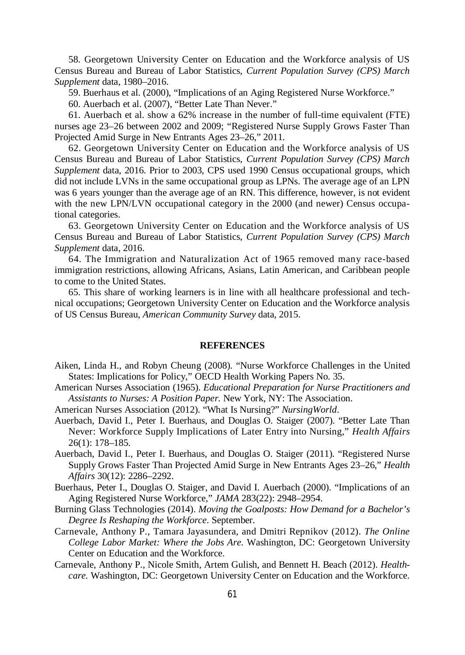58. Georgetown University Center on Education and the Workforce analysis of US Census Bureau and Bureau of Labor Statistics, *Current Population Survey (CPS) March Supplement* data, 1980–2016.

59. Buerhaus et al. (2000), "Implications of an Aging Registered Nurse Workforce."

60. Auerbach et al. (2007), "Better Late Than Never."

61. Auerbach et al. show a 62% increase in the number of full-time equivalent (FTE) nurses age 23–26 between 2002 and 2009; "Registered Nurse Supply Grows Faster Than Projected Amid Surge in New Entrants Ages 23–26," 2011.

62. Georgetown University Center on Education and the Workforce analysis of US Census Bureau and Bureau of Labor Statistics, *Current Population Survey (CPS) March Supplement* data, 2016. Prior to 2003, CPS used 1990 Census occupational groups, which did not include LVNs in the same occupational group as LPNs. The average age of an LPN was 6 years younger than the average age of an RN. This difference, however, is not evident with the new LPN/LVN occupational category in the 2000 (and newer) Census occupational categories.

63. Georgetown University Center on Education and the Workforce analysis of US Census Bureau and Bureau of Labor Statistics, *Current Population Survey (CPS) March Supplement* data, 2016.

64. The Immigration and Naturalization Act of 1965 removed many race-based immigration restrictions, allowing Africans, Asians, Latin American, and Caribbean people to come to the United States.

65. This share of working learners is in line with all healthcare professional and technical occupations; Georgetown University Center on Education and the Workforce analysis of US Census Bureau, *American Community Survey* data, 2015.

#### **REFERENCES**

- Aiken, Linda H., and Robyn Cheung (2008). "Nurse Workforce Challenges in the United States: Implications for Policy," OECD Health Working Papers No. 35.
- American Nurses Association (1965). *Educational Preparation for Nurse Practitioners and Assistants to Nurses: A Position Paper*. New York, NY: The Association.
- American Nurses Association (2012). "What Is Nursing?" *NursingWorld*.
- Auerbach, David I., Peter I. Buerhaus, and Douglas O. Staiger (2007). "Better Late Than Never: Workforce Supply Implications of Later Entry into Nursing," *Health Affairs* 26(1): 178–185.
- Auerbach, David I., Peter I. Buerhaus, and Douglas O. Staiger (2011). "Registered Nurse Supply Grows Faster Than Projected Amid Surge in New Entrants Ages 23–26," *Health Affairs* 30(12): 2286–2292.
- Buerhaus, Peter I., Douglas O. Staiger, and David I. Auerbach (2000). "Implications of an Aging Registered Nurse Workforce," *JAMA* 283(22): 2948–2954.
- Burning Glass Technologies (2014). *Moving the Goalposts: How Demand for a Bachelor's Degree Is Reshaping the Workforce*. September.
- Carnevale, Anthony P., Tamara Jayasundera, and Dmitri Repnikov (2012). *The Online College Labor Market: Where the Jobs Are*. Washington, DC: Georgetown University Center on Education and the Workforce.
- Carnevale, Anthony P., Nicole Smith, Artem Gulish, and Bennett H. Beach (2012). *Healthcare*. Washington, DC: Georgetown University Center on Education and the Workforce.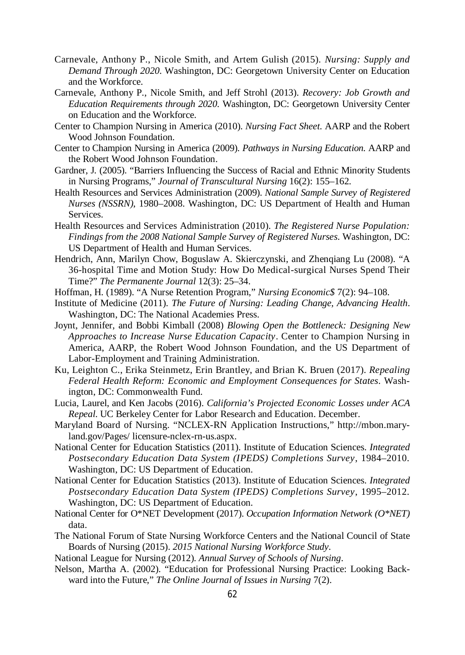- Carnevale, Anthony P., Nicole Smith, and Artem Gulish (2015). *Nursing: Supply and Demand Through 2020*. Washington, DC: Georgetown University Center on Education and the Workforce.
- Carnevale, Anthony P., Nicole Smith, and Jeff Strohl (2013). *Recovery: Job Growth and Education Requirements through 2020*. Washington, DC: Georgetown University Center on Education and the Workforce.
- Center to Champion Nursing in America (2010). *Nursing Fact Sheet*. AARP and the Robert Wood Johnson Foundation.
- Center to Champion Nursing in America (2009). *Pathways in Nursing Education*. AARP and the Robert Wood Johnson Foundation.
- Gardner, J. (2005). "Barriers Influencing the Success of Racial and Ethnic Minority Students in Nursing Programs," *Journal of Transcultural Nursing* 16(2): 155–162.
- Health Resources and Services Administration (2009). *National Sample Survey of Registered Nurses (NSSRN)*, 1980–2008. Washington, DC: US Department of Health and Human Services.
- Health Resources and Services Administration (2010). *The Registered Nurse Population: Findings from the 2008 National Sample Survey of Registered Nurses*. Washington, DC: US Department of Health and Human Services.
- Hendrich, Ann, Marilyn Chow, Boguslaw A. Skierczynski, and Zhenqiang Lu (2008). "A 36-hospital Time and Motion Study: How Do Medical-surgical Nurses Spend Their Time?" *The Permanente Journal* 12(3): 25–34.
- Hoffman, H. (1989). "A Nurse Retention Program," *Nursing Economic\$* 7(2): 94–108.
- Institute of Medicine (2011). *The Future of Nursing: Leading Change, Advancing Health*. Washington, DC: The National Academies Press.
- Joynt, Jennifer, and Bobbi Kimball (2008) *Blowing Open the Bottleneck: Designing New Approaches to Increase Nurse Education Capacity*. Center to Champion Nursing in America, AARP, the Robert Wood Johnson Foundation, and the US Department of Labor-Employment and Training Administration.
- Ku, Leighton C., Erika Steinmetz, Erin Brantley, and Brian K. Bruen (2017). *Repealing Federal Health Reform: Economic and Employment Consequences for States*. Washington, DC: Commonwealth Fund.
- Lucia, Laurel, and Ken Jacobs (2016). *California's Projected Economic Losses under ACA Repeal*. UC Berkeley Center for Labor Research and Education. December.
- Maryland Board of Nursing. "NCLEX-RN Application Instructions," http://mbon.maryland.gov/Pages/ licensure-nclex-rn-us.aspx.
- National Center for Education Statistics (2011). Institute of Education Sciences. *Integrated Postsecondary Education Data System (IPEDS) Completions Survey*, 1984–2010. Washington, DC: US Department of Education.
- National Center for Education Statistics (2013). Institute of Education Sciences. *Integrated Postsecondary Education Data System (IPEDS) Completions Survey*, 1995–2012. Washington, DC: US Department of Education.
- National Center for O\*NET Development (2017). *Occupation Information Network (O\*NET)* data.
- The National Forum of State Nursing Workforce Centers and the National Council of State Boards of Nursing (2015). *2015 National Nursing Workforce Study*.
- National League for Nursing (2012). *Annual Survey of Schools of Nursing*.
- Nelson, Martha A. (2002). "Education for Professional Nursing Practice: Looking Backward into the Future," *The Online Journal of Issues in Nursing* 7(2).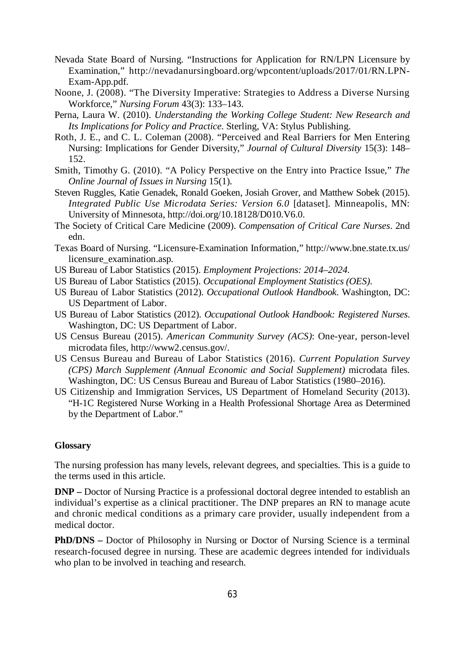- Nevada State Board of Nursing. "Instructions for Application for RN/LPN Licensure by Examination," http://nevadanursingboard.org/wpcontent/uploads/2017/01/RN.LPN-Exam-App.pdf.
- Noone, J. (2008). "The Diversity Imperative: Strategies to Address a Diverse Nursing Workforce," *Nursing Forum* 43(3): 133–143.
- Perna, Laura W. (2010). *Understanding the Working College Student: New Research and Its Implications for Policy and Practice*. Sterling, VA: Stylus Publishing.
- Roth, J. E., and C. L. Coleman (2008). "Perceived and Real Barriers for Men Entering Nursing: Implications for Gender Diversity," *Journal of Cultural Diversity* 15(3): 148– 152.
- Smith, Timothy G. (2010). "A Policy Perspective on the Entry into Practice Issue," *The Online Journal of Issues in Nursing* 15(1).
- Steven Ruggles, Katie Genadek, Ronald Goeken, Josiah Grover, and Matthew Sobek (2015). *Integrated Public Use Microdata Series: Version 6.0* [dataset]. Minneapolis, MN: University of Minnesota, http://doi.org/10.18128/D010.V6.0.
- The Society of Critical Care Medicine (2009). *Compensation of Critical Care Nurses*. 2nd edn.
- Texas Board of Nursing. "Licensure-Examination Information," http://www.bne.state.tx.us/ licensure\_examination.asp.
- US Bureau of Labor Statistics (2015). *Employment Projections: 2014–2024*.
- US Bureau of Labor Statistics (2015). *Occupational Employment Statistics (OES)*.
- US Bureau of Labor Statistics (2012). *Occupational Outlook Handbook*. Washington, DC: US Department of Labor.
- US Bureau of Labor Statistics (2012). *Occupational Outlook Handbook: Registered Nurses*. Washington, DC: US Department of Labor.
- US Census Bureau (2015). *American Community Survey (ACS)*: One-year, person-level microdata files, http://www2.census.gov/.
- US Census Bureau and Bureau of Labor Statistics (2016). *Current Population Survey (CPS) March Supplement (Annual Economic and Social Supplement)* microdata files. Washington, DC: US Census Bureau and Bureau of Labor Statistics (1980–2016).
- US Citizenship and Immigration Services, US Department of Homeland Security (2013). "H-1C Registered Nurse Working in a Health Professional Shortage Area as Determined by the Department of Labor."

#### **Glossary**

The nursing profession has many levels, relevant degrees, and specialties. This is a guide to the terms used in this article.

**DNP –** Doctor of Nursing Practice is a professional doctoral degree intended to establish an individual's expertise as a clinical practitioner. The DNP prepares an RN to manage acute and chronic medical conditions as a primary care provider, usually independent from a medical doctor.

**PhD/DNS –** Doctor of Philosophy in Nursing or Doctor of Nursing Science is a terminal research-focused degree in nursing. These are academic degrees intended for individuals who plan to be involved in teaching and research.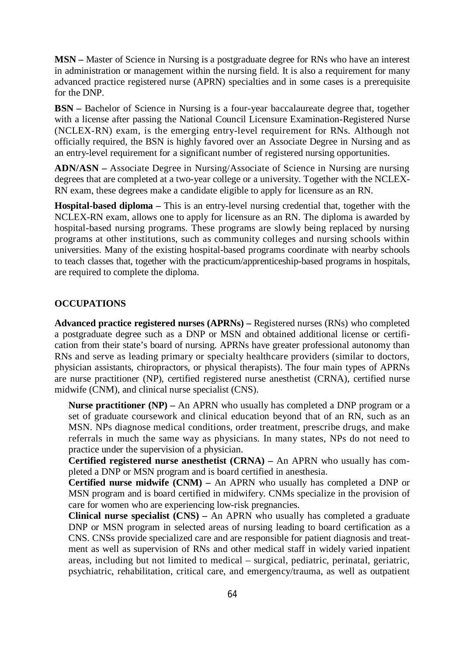**MSN –** Master of Science in Nursing is a postgraduate degree for RNs who have an interest in administration or management within the nursing field. It is also a requirement for many advanced practice registered nurse (APRN) specialties and in some cases is a prerequisite for the DNP.

**BSN –** Bachelor of Science in Nursing is a four-year baccalaureate degree that, together with a license after passing the National Council Licensure Examination-Registered Nurse (NCLEX-RN) exam, is the emerging entry-level requirement for RNs. Although not officially required, the BSN is highly favored over an Associate Degree in Nursing and as an entry-level requirement for a significant number of registered nursing opportunities.

**ADN/ASN –** Associate Degree in Nursing/Associate of Science in Nursing are nursing degrees that are completed at a two-year college or a university. Together with the NCLEX-RN exam, these degrees make a candidate eligible to apply for licensure as an RN.

**Hospital-based diploma –** This is an entry-level nursing credential that, together with the NCLEX-RN exam, allows one to apply for licensure as an RN. The diploma is awarded by hospital-based nursing programs. These programs are slowly being replaced by nursing programs at other institutions, such as community colleges and nursing schools within universities. Many of the existing hospital-based programs coordinate with nearby schools to teach classes that, together with the practicum/apprenticeship-based programs in hospitals, are required to complete the diploma.

### **OCCUPATIONS**

**Advanced practice registered nurses (APRNs) –** Registered nurses (RNs) who completed a postgraduate degree such as a DNP or MSN and obtained additional license or certification from their state's board of nursing. APRNs have greater professional autonomy than RNs and serve as leading primary or specialty healthcare providers (similar to doctors, physician assistants, chiropractors, or physical therapists). The four main types of APRNs are nurse practitioner (NP), certified registered nurse anesthetist (CRNA), certified nurse midwife (CNM), and clinical nurse specialist (CNS).

**Nurse practitioner (NP)** – An APRN who usually has completed a DNP program or a set of graduate coursework and clinical education beyond that of an RN, such as an MSN. NPs diagnose medical conditions, order treatment, prescribe drugs, and make referrals in much the same way as physicians. In many states, NPs do not need to practice under the supervision of a physician.

**Certified registered nurse anesthetist (CRNA) –** An APRN who usually has completed a DNP or MSN program and is board certified in anesthesia.

**Certified nurse midwife (CNM) –** An APRN who usually has completed a DNP or MSN program and is board certified in midwifery. CNMs specialize in the provision of care for women who are experiencing low-risk pregnancies.

**Clinical nurse specialist (CNS) –** An APRN who usually has completed a graduate DNP or MSN program in selected areas of nursing leading to board certification as a CNS. CNSs provide specialized care and are responsible for patient diagnosis and treatment as well as supervision of RNs and other medical staff in widely varied inpatient areas, including but not limited to medical – surgical, pediatric, perinatal, geriatric, psychiatric, rehabilitation, critical care, and emergency/trauma, as well as outpatient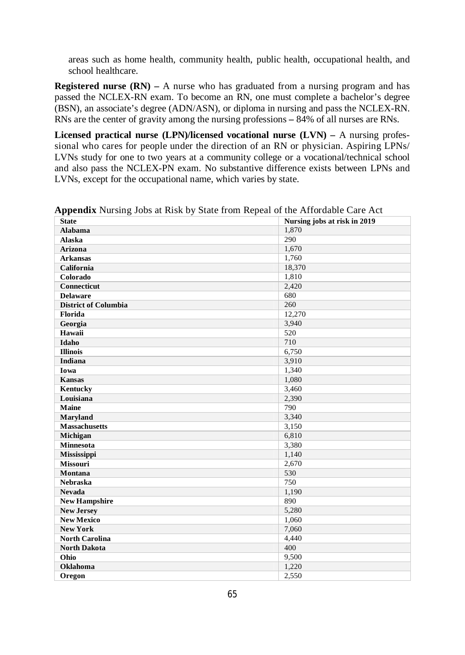areas such as home health, community health, public health, occupational health, and school healthcare.

**Registered nurse (RN)** – A nurse who has graduated from a nursing program and has passed the NCLEX-RN exam. To become an RN, one must complete a bachelor's degree (BSN), an associate's degree (ADN/ASN), or diploma in nursing and pass the NCLEX-RN. RNs are the center of gravity among the nursing professions **–** 84% of all nurses are RNs.

**Licensed practical nurse (LPN)/licensed vocational nurse (LVN) –** A nursing professional who cares for people under the direction of an RN or physician. Aspiring LPNs/ LVNs study for one to two years at a community college or a vocational/technical school and also pass the NCLEX-PN exam. No substantive difference exists between LPNs and LVNs, except for the occupational name, which varies by state.

| . .                         | ┻                            |
|-----------------------------|------------------------------|
| <b>State</b>                | Nursing jobs at risk in 2019 |
| <b>Alabama</b>              | 1,870                        |
| <b>Alaska</b>               | 290                          |
| <b>Arizona</b>              | 1,670                        |
| <b>Arkansas</b>             | 1,760                        |
| California                  | 18,370                       |
| Colorado                    | 1,810                        |
| <b>Connecticut</b>          | 2,420                        |
| <b>Delaware</b>             | 680                          |
| <b>District of Columbia</b> | 260                          |
| Florida                     | 12.270                       |
| Georgia                     | 3,940                        |
| Hawaii                      | 520                          |
| Idaho                       | 710                          |
| <b>Illinois</b>             | 6.750                        |
| Indiana                     | 3,910                        |
| Iowa                        | 1,340                        |
| <b>Kansas</b>               | 1,080                        |
| Kentucky                    | 3,460                        |
| Louisiana                   | 2,390                        |
| Maine                       | 790                          |
| <b>Maryland</b>             | 3,340                        |
| <b>Massachusetts</b>        | 3,150                        |
| Michigan                    | 6,810                        |
| <b>Minnesota</b>            | 3,380                        |
| <b>Mississippi</b>          | 1,140                        |
| <b>Missouri</b>             | 2,670                        |
| Montana                     | 530                          |
| <b>Nebraska</b>             | 750                          |
| <b>Nevada</b>               | 1,190                        |
| <b>New Hampshire</b>        | 890                          |
| <b>New Jersey</b>           | 5,280                        |
| <b>New Mexico</b>           | 1,060                        |
| <b>New York</b>             | 7,060                        |
| <b>North Carolina</b>       | 4,440                        |
| <b>North Dakota</b>         | 400                          |
| Ohio                        | 9,500                        |
| <b>Oklahoma</b>             | 1,220                        |
| Oregon                      | 2,550                        |

**Appendix** Nursing Jobs at Risk by State from Repeal of the Affordable Care Act